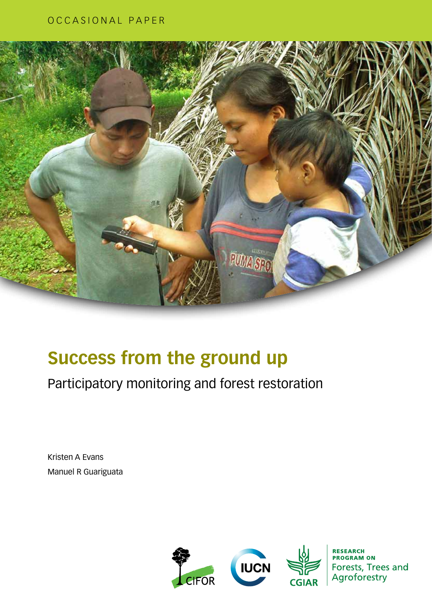#### OCCASIONAL PAPER



# **Success from the ground up**

Participatory monitoring and forest restoration

Kristen A Evans Manuel R Guariguata



Forests, Trees and Agroforestry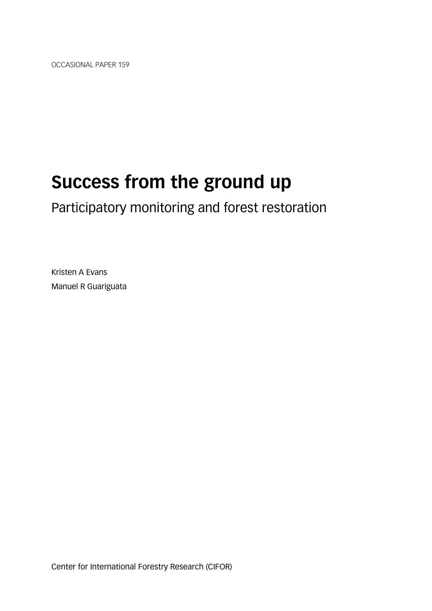OCCASIONAL PAPER 159

# **Success from the ground up**

Participatory monitoring and forest restoration

Kristen A Evans Manuel R Guariguata

Center for International Forestry Research (CIFOR)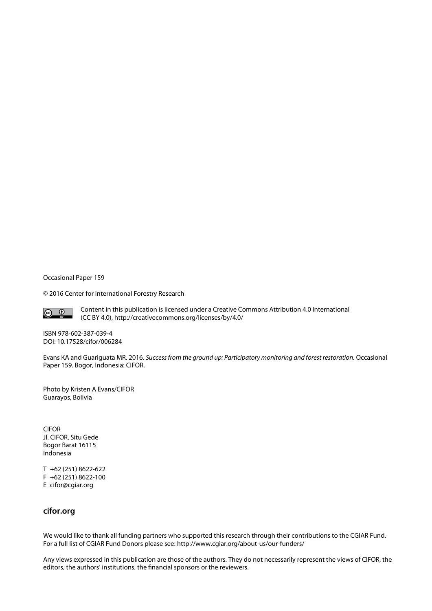Occasional Paper 159

© 2016 Center for International Forestry Research



Content in this publication is licensed under a Creative Commons Attribution 4.0 International (CC BY 4.0), http://creativecommons.org/licenses/by/4.0/

ISBN 978-602-387-039-4 DOI: 10.17528/cifor/006284

Evans KA and Guariguata MR. 2016. *Success from the ground up: Participatory monitoring and forest restoration.* Occasional Paper 159. Bogor, Indonesia: CIFOR.

Photo by Kristen A Evans/CIFOR Guarayos, Bolivia

CIFOR Jl. CIFOR, Situ Gede Bogor Barat 16115 Indonesia

T +62 (251) 8622-622 F +62 (251) 8622-100 E cifor@cgiar.org

#### **cifor.org**

We would like to thank all funding partners who supported this research through their contributions to the CGIAR Fund. For a full list of CGIAR Fund Donors please see: http://www.cgiar.org/about-us/our-funders/

Any views expressed in this publication are those of the authors. They do not necessarily represent the views of CIFOR, the editors, the authors' institutions, the financial sponsors or the reviewers.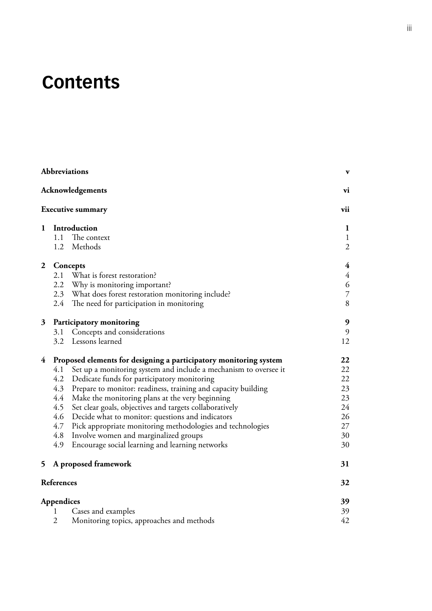# **Contents**

|                |                   | <b>Abbreviations</b>                                              | $\mathbf{v}$                   |  |  |  |
|----------------|-------------------|-------------------------------------------------------------------|--------------------------------|--|--|--|
|                |                   | <b>Acknowledgements</b>                                           | vi                             |  |  |  |
|                |                   | <b>Executive summary</b>                                          | vii                            |  |  |  |
| $\mathbf{1}$   | Introduction      |                                                                   |                                |  |  |  |
|                | 1.1               | The context<br>1.2 Methods                                        | $\mathbf{1}$<br>$\overline{2}$ |  |  |  |
| $\overline{2}$ |                   | Concepts                                                          | 4                              |  |  |  |
|                | 2.1               | What is forest restoration?                                       | $\overline{4}$                 |  |  |  |
|                |                   | 2.2 Why is monitoring important?                                  | 6                              |  |  |  |
|                |                   | 2.3 What does forest restoration monitoring include?              | $\overline{7}$                 |  |  |  |
|                |                   | 2.4 The need for participation in monitoring                      | 8                              |  |  |  |
| 3              |                   | Participatory monitoring                                          | $\boldsymbol{9}$               |  |  |  |
|                | 3.1               | Concepts and considerations                                       | 9                              |  |  |  |
|                | 3.2               | Lessons learned                                                   | 12                             |  |  |  |
| 4              |                   | Proposed elements for designing a participatory monitoring system | 22                             |  |  |  |
|                | 4.1               | Set up a monitoring system and include a mechanism to oversee it  | 22                             |  |  |  |
|                | 4.2               | Dedicate funds for participatory monitoring                       | 22                             |  |  |  |
|                | 4.3               | Prepare to monitor: readiness, training and capacity building     | 23                             |  |  |  |
|                | 4.4               | Make the monitoring plans at the very beginning                   | 23                             |  |  |  |
|                | 4.5               | Set clear goals, objectives and targets collaboratively           | 24                             |  |  |  |
|                | 4.6               | Decide what to monitor: questions and indicators                  | 26                             |  |  |  |
|                | 4.7               | Pick appropriate monitoring methodologies and technologies        | 27                             |  |  |  |
|                | 4.8               | Involve women and marginalized groups                             | 30                             |  |  |  |
|                | 4.9               | Encourage social learning and learning networks                   | 30                             |  |  |  |
| 5              |                   | A proposed framework                                              | 31                             |  |  |  |
|                | <b>References</b> |                                                                   | 32                             |  |  |  |
|                | Appendices        |                                                                   | 39                             |  |  |  |
|                | 1                 | Cases and examples                                                | 39                             |  |  |  |
|                | $\overline{2}$    | Monitoring topics, approaches and methods                         | 42                             |  |  |  |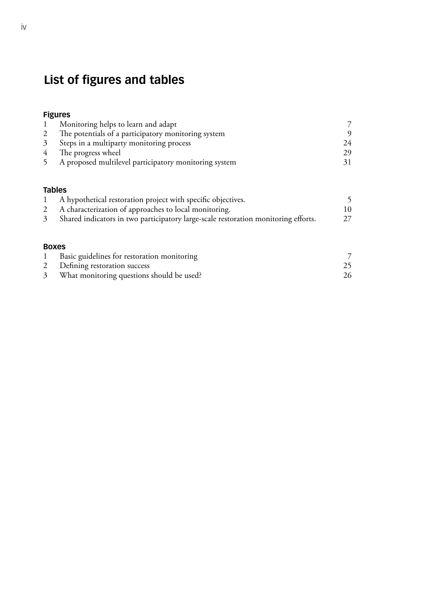## **List of figures and tables**

#### **Figures**

|               | Monitoring helps to learn and adapt                                                |    |
|---------------|------------------------------------------------------------------------------------|----|
|               | The potentials of a participatory monitoring system                                |    |
| 3             | Steps in a multiparty monitoring process                                           | 24 |
|               | The progress wheel                                                                 | 29 |
|               | A proposed multilevel participatory monitoring system                              |    |
| <b>Tables</b> | A hypothetical restoration project with specific objectives.                       |    |
|               | A characterization of approaches to local monitoring.                              | 10 |
|               | Shared indicators in two participatory large-scale restoration monitoring efforts. |    |

| ×<br>٧ |
|--------|
|--------|

| Basic guidelines for restoration monitoring |    |
|---------------------------------------------|----|
| 2 Defining restoration success              |    |
| What monitoring questions should be used?   | 26 |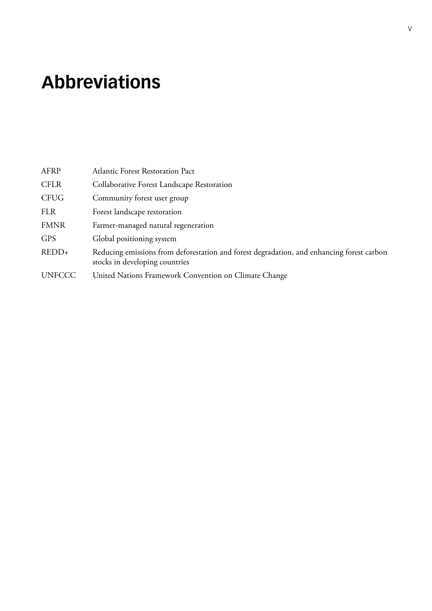# <span id="page-6-0"></span>**Abbreviations**

| AFRP          | <b>Atlantic Forest Restoration Pact</b>                                                                                     |
|---------------|-----------------------------------------------------------------------------------------------------------------------------|
| <b>CFLR</b>   | Collaborative Forest Landscape Restoration                                                                                  |
| <b>CFUG</b>   | Community forest user group                                                                                                 |
| <b>FLR</b>    | Forest landscape restoration                                                                                                |
| <b>FMNR</b>   | Farmer-managed natural regeneration                                                                                         |
| <b>GPS</b>    | Global positioning system                                                                                                   |
| $REDD+$       | Reducing emissions from deforestation and forest degradation, and enhancing forest carbon<br>stocks in developing countries |
| <b>UNFCCC</b> | United Nations Framework Convention on Climate Change                                                                       |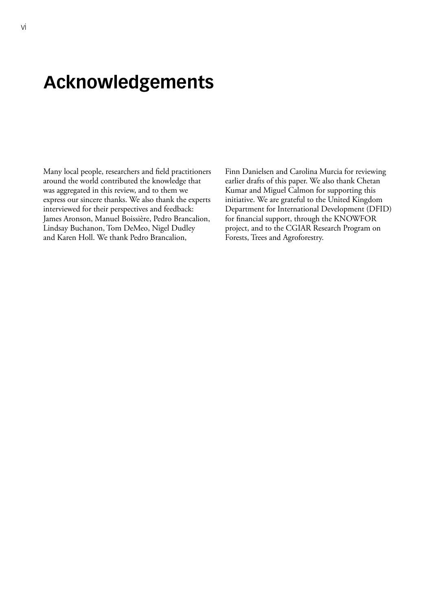# <span id="page-7-0"></span>**Acknowledgements**

Many local people, researchers and field practitioners around the world contributed the knowledge that was aggregated in this review, and to them we express our sincere thanks. We also thank the experts interviewed for their perspectives and feedback: James Aronson, Manuel Boissière, Pedro Brancalion, Lindsay Buchanon, Tom DeMeo, Nigel Dudley and Karen Holl. We thank Pedro Brancalion,

Finn Danielsen and Carolina Murcia for reviewing earlier drafts of this paper. We also thank Chetan Kumar and Miguel Calmon for supporting this initiative. We are grateful to the United Kingdom Department for International Development (DFID) for financial support, through the KNOWFOR project, and to the CGIAR Research Program on Forests, Trees and Agroforestry.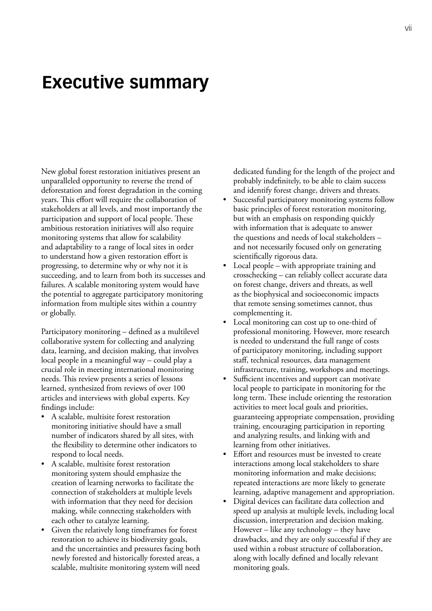## <span id="page-8-0"></span>**Executive summary**

New global forest restoration initiatives present an unparalleled opportunity to reverse the trend of deforestation and forest degradation in the coming years. This effort will require the collaboration of stakeholders at all levels, and most importantly the participation and support of local people. These ambitious restoration initiatives will also require monitoring systems that allow for scalability and adaptability to a range of local sites in order to understand how a given restoration effort is progressing, to determine why or why not it is succeeding, and to learn from both its successes and failures. A scalable monitoring system would have the potential to aggregate participatory monitoring information from multiple sites within a country or globally.

Participatory monitoring – defined as a multilevel collaborative system for collecting and analyzing data, learning, and decision making, that involves local people in a meaningful way – could play a crucial role in meeting international monitoring needs. This review presents a series of lessons learned, synthesized from reviews of over 100 articles and interviews with global experts. Key findings include:

- A scalable, multisite forest restoration monitoring initiative should have a small number of indicators shared by all sites, with the flexibility to determine other indicators to respond to local needs.
- A scalable, multisite forest restoration monitoring system should emphasize the creation of learning networks to facilitate the connection of stakeholders at multiple levels with information that they need for decision making, while connecting stakeholders with each other to catalyze learning.
- Given the relatively long timeframes for forest restoration to achieve its biodiversity goals, and the uncertainties and pressures facing both newly forested and historically forested areas, a scalable, multisite monitoring system will need

dedicated funding for the length of the project and probably indefinitely, to be able to claim success and identify forest change, drivers and threats.

- Successful participatory monitoring systems follow basic principles of forest restoration monitoring, but with an emphasis on responding quickly with information that is adequate to answer the questions and needs of local stakeholders – and not necessarily focused only on generating scientifically rigorous data.
- Local people with appropriate training and crosschecking – can reliably collect accurate data on forest change, drivers and threats, as well as the biophysical and socioeconomic impacts that remote sensing sometimes cannot, thus complementing it.
- Local monitoring can cost up to one-third of professional monitoring. However, more research is needed to understand the full range of costs of participatory monitoring, including support staff, technical resources, data management infrastructure, training, workshops and meetings.
- Sufficient incentives and support can motivate local people to participate in monitoring for the long term. These include orienting the restoration activities to meet local goals and priorities, guaranteeing appropriate compensation, providing training, encouraging participation in reporting and analyzing results, and linking with and learning from other initiatives.
- Effort and resources must be invested to create interactions among local stakeholders to share monitoring information and make decisions; repeated interactions are more likely to generate learning, adaptive management and appropriation.
- Digital devices can facilitate data collection and speed up analysis at multiple levels, including local discussion, interpretation and decision making. However – like any technology – they have drawbacks, and they are only successful if they are used within a robust structure of collaboration, along with locally defined and locally relevant monitoring goals.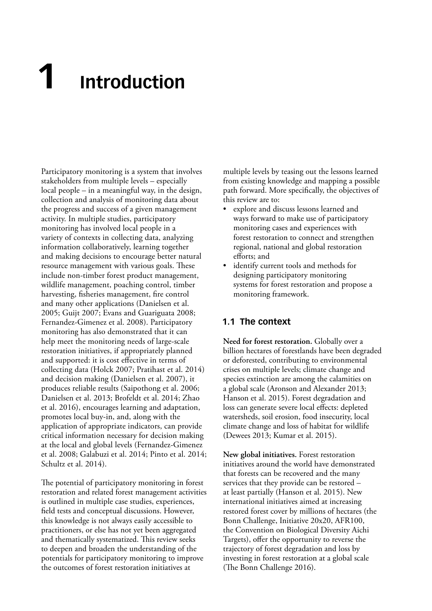# <span id="page-10-0"></span>**1 Introduction**

Participatory monitoring is a system that involves stakeholders from multiple levels – especially local people – in a meaningful way, in the design, collection and analysis of monitoring data about the progress and success of a given management activity. In multiple studies, participatory monitoring has involved local people in a variety of contexts in collecting data, analyzing information collaboratively, learning together and making decisions to encourage better natural resource management with various goals. These include non-timber forest product management, wildlife management, poaching control, timber harvesting, fisheries management, fire control and many other applications (Danielsen et al. 2005; Guijt 2007; Evans and Guariguata 2008; Fernandez-Gimenez et al. 2008). Participatory monitoring has also demonstrated that it can help meet the monitoring needs of large-scale restoration initiatives, if appropriately planned and supported: it is cost effective in terms of collecting data (Holck 2007; Pratihast et al. 2014) and decision making (Danielsen et al. 2007), it produces reliable results (Saipothong et al. 2006; Danielsen et al. 2013; Brofeldt et al. 2014; Zhao et al. 2016), encourages learning and adaptation, promotes local buy-in, and, along with the application of appropriate indicators, can provide critical information necessary for decision making at the local and global levels (Fernandez-Gimenez et al. 2008; Galabuzi et al. 2014; Pinto et al. 2014; Schultz et al. 2014).

The potential of participatory monitoring in forest restoration and related forest management activities is outlined in multiple case studies, experiences, field tests and conceptual discussions. However, this knowledge is not always easily accessible to practitioners, or else has not yet been aggregated and thematically systematized. This review seeks to deepen and broaden the understanding of the potentials for participatory monitoring to improve the outcomes of forest restoration initiatives at

multiple levels by teasing out the lessons learned from existing knowledge and mapping a possible path forward. More specifically, the objectives of this review are to:

- explore and discuss lessons learned and ways forward to make use of participatory monitoring cases and experiences with forest restoration to connect and strengthen regional, national and global restoration efforts; and
- • identify current tools and methods for designing participatory monitoring systems for forest restoration and propose a monitoring framework.

#### **1.1 The context**

**Need for forest restoration.** Globally over a billion hectares of forestlands have been degraded or deforested, contributing to environmental crises on multiple levels; climate change and species extinction are among the calamities on a global scale (Aronson and Alexander 2013; Hanson et al. 2015). Forest degradation and loss can generate severe local effects: depleted watersheds, soil erosion, food insecurity, local climate change and loss of habitat for wildlife (Dewees 2013; Kumar et al. 2015).

**New global initiatives.** Forest restoration initiatives around the world have demonstrated that forests can be recovered and the many services that they provide can be restored – at least partially (Hanson et al. 2015). New international initiatives aimed at increasing restored forest cover by millions of hectares (the Bonn Challenge, Initiative 20x20, AFR100, the Convention on Biological Diversity Aichi Targets), offer the opportunity to reverse the trajectory of forest degradation and loss by investing in forest restoration at a global scale (The Bonn Challenge 2016).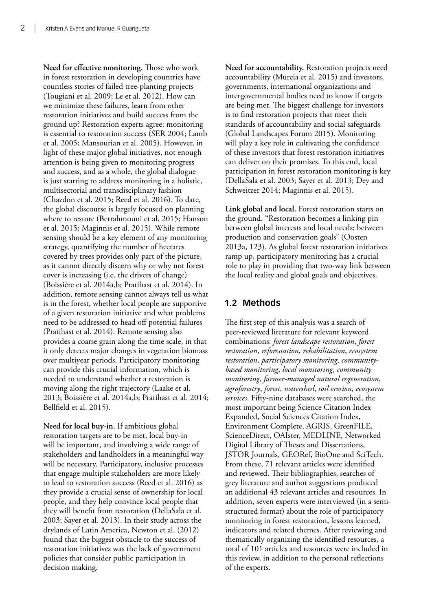<span id="page-11-0"></span>**Need for effective monitoring.** Those who work in forest restoration in developing countries have countless stories of failed tree-planting projects (Tougiani et al. 2009; Le et al. 2012). How can we minimize these failures, learn from other restoration initiatives and build success from the ground up? Restoration experts agree: monitoring is essential to restoration success (SER 2004; Lamb et al. 2005; Mansourian et al. 2005). However, in light of these major global initiatives, not enough attention is being given to monitoring progress and success, and as a whole, the global dialogue is just starting to address monitoring in a holistic, multisectorial and transdisciplinary fashion (Chazdon et al. 2015; Reed et al. 2016). To date, the global discourse is largely focused on planning where to restore (Berrahmouni et al. 2015; Hanson et al. 2015; Maginnis et al. 2015). While remote sensing should be a key element of any monitoring strategy, quantifying the number of hectares covered by trees provides only part of the picture, as it cannot directly discern why or why not forest cover is increasing (i.e. the drivers of change) (Boissière et al. 2014a,b; Pratihast et al. 2014). In addition, remote sensing cannot always tell us what is in the forest, whether local people are supportive of a given restoration initiative and what problems need to be addressed to head off potential failures (Pratihast et al. 2014). Remote sensing also provides a coarse grain along the time scale, in that it only detects major changes in vegetation biomass over multiyear periods. Participatory monitoring can provide this crucial information, which is needed to understand whether a restoration is moving along the right trajectory (Laake et al. 2013; Boissière et al. 2014a,b; Pratihast et al. 2014; Bellfield et al. 2015).

**Need for local buy-in.** If ambitious global restoration targets are to be met, local buy-in will be important, and involving a wide range of stakeholders and landholders in a meaningful way will be necessary. Participatory, inclusive processes that engage multiple stakeholders are more likely to lead to restoration success (Reed et al. 2016) as they provide a crucial sense of ownership for local people, and they help convince local people that they will benefit from restoration (DellaSala et al. 2003; Sayer et al. 2013). In their study across the drylands of Latin America, Newton et al. (2012) found that the biggest obstacle to the success of restoration initiatives was the lack of government policies that consider public participation in decision making.

**Need for accountability.** Restoration projects need accountability (Murcia et al. 2015) and investors, governments, international organizations and intergovernmental bodies need to know if targets are being met. The biggest challenge for investors is to find restoration projects that meet their standards of accountability and social safeguards (Global Landscapes Forum 2015). Monitoring will play a key role in cultivating the confidence of these investors that forest restoration initiatives can deliver on their promises. To this end, local participation in forest restoration monitoring is key (DellaSala et al. 2003; Sayer et al. 2013; Dey and Schweitzer 2014; Maginnis et al. 2015).

**Link global and local.** Forest restoration starts on the ground. "Restoration becomes a linking pin between global interests and local needs; between production and conservation goals" (Oosten 2013a, 123). As global forest restoration initiatives ramp up, participatory monitoring has a crucial role to play in providing that two-way link between the local reality and global goals and objectives.

#### **1.2 Methods**

The first step of this analysis was a search of peer-reviewed literature for relevant keyword combinations: *forest landscape restoration*, *forest restoration*, *reforestation*, *rehabilitation*, *ecosystem restoration*, *participatory monitoring*, *communitybased monitoring*, *local monitoring*, *community monitoring*, *farmer-managed natural regeneration*, *agroforestry*, *forest*, *watershed*, *soil erosion*, *ecosystem services*. Fifty-nine databases were searched, the most important being Science Citation Index Expanded, Social Sciences Citation Index, Environment Complete, AGRIS, GreenFILE, ScienceDirect, OAIster, MEDLINE, Networked Digital Library of Theses and Dissertations, JSTOR Journals, GEORef, BioOne and SciTech. From these, 71 relevant articles were identified and reviewed. Their bibliographies, searches of grey literature and author suggestions produced an additional 43 relevant articles and resources. In addition, seven experts were interviewed (in a semistructured format) about the role of participatory monitoring in forest restoration, lessons learned, indicators and related themes. After reviewing and thematically organizing the identified resources, a total of 101 articles and resources were included in this review, in addition to the personal reflections of the experts.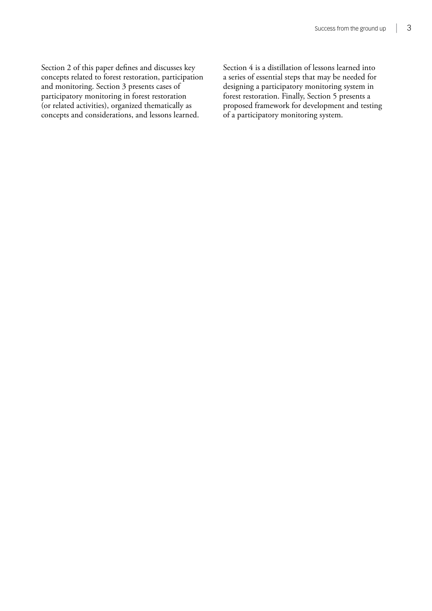Section 2 of this paper defines and discusses key concepts related to forest restoration, participation and monitoring. Section 3 presents cases of participatory monitoring in forest restoration (or related activities), organized thematically as concepts and considerations, and lessons learned.

Section 4 is a distillation of lessons learned into a series of essential steps that may be needed for designing a participatory monitoring system in forest restoration. Finally, Section 5 presents a proposed framework for development and testing of a participatory monitoring system.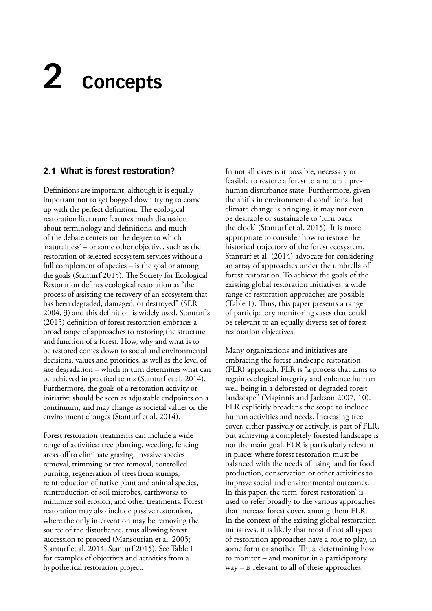# <span id="page-13-0"></span>**2 Concepts**

#### **2.1 What is forest restoration?**

Definitions are important, although it is equally important not to get bogged down trying to come up with the perfect definition. The ecological restoration literature features much discussion about terminology and definitions, and much of the debate centers on the degree to which 'naturalness' – or some other objective, such as the restoration of selected ecosystem services without a full complement of species – is the goal or among the goals (Stanturf 2015). The Society for Ecological Restoration defines ecological restoration as "the process of assisting the recovery of an ecosystem that has been degraded, damaged, or destroyed" (SER 2004, 3) and this definition is widely used. Stanturf's (2015) definition of forest restoration embraces a broad range of approaches to restoring the structure and function of a forest. How, why and what is to be restored comes down to social and environmental decisions, values and priorities, as well as the level of site degradation – which in turn determines what can be achieved in practical terms (Stanturf et al. 2014). Furthermore, the goals of a restoration activity or initiative should be seen as adjustable endpoints on a continuum, and may change as societal values or the environment changes (Stanturf et al. 2014).

Forest restoration treatments can include a wide range of activities: tree planting, weeding, fencing areas off to eliminate grazing, invasive species removal, trimming or tree removal, controlled burning, regeneration of trees from stumps, reintroduction of native plant and animal species, reintroduction of soil microbes, earthworks to minimize soil erosion, and other treatments. Forest restoration may also include passive restoration, where the only intervention may be removing the source of the disturbance, thus allowing forest succession to proceed (Mansourian et al. 2005; Stanturf et al. 2014; Stanturf 2015). See Table 1 for examples of objectives and activities from a hypothetical restoration project.

In not all cases is it possible, necessary or feasible to restore a forest to a natural, prehuman disturbance state. Furthermore, given the shifts in environmental conditions that climate change is bringing, it may not even be desirable or sustainable to 'turn back the clock' (Stanturf et al. 2015). It is more appropriate to consider how to restore the historical trajectory of the forest ecosystem. Stanturf et al. (2014) advocate for considering an array of approaches under the umbrella of forest restoration. To achieve the goals of the existing global restoration initiatives, a wide range of restoration approaches are possible (Table 1). Thus, this paper presents a range of participatory monitoring cases that could be relevant to an equally diverse set of forest restoration objectives.

Many organizations and initiatives are embracing the forest landscape restoration (FLR) approach. FLR is "a process that aims to regain ecological integrity and enhance human well-being in a deforested or degraded forest landscape" (Maginnis and Jackson 2007, 10). FLR explicitly broadens the scope to include human activities and needs. Increasing tree cover, either passively or actively, is part of FLR, but achieving a completely forested landscape is not the main goal. FLR is particularly relevant in places where forest restoration must be balanced with the needs of using land for food production, conservation or other activities to improve social and environmental outcomes. In this paper, the term 'forest restoration' is used to refer broadly to the various approaches that increase forest cover, among them FLR. In the context of the existing global restoration initiatives, it is likely that most if not all types of restoration approaches have a role to play, in some form or another. Thus, determining how to monitor – and monitor in a participatory way – is relevant to all of these approaches.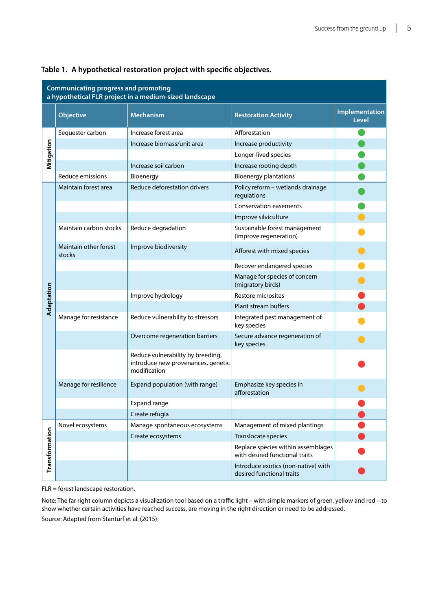| <b>Communicating progress and promoting</b><br>a hypothetical FLR project in a medium-sized landscape |                                 |                                                                                         |                                                                      |                                |  |  |
|-------------------------------------------------------------------------------------------------------|---------------------------------|-----------------------------------------------------------------------------------------|----------------------------------------------------------------------|--------------------------------|--|--|
|                                                                                                       | <b>Objective</b>                | <b>Mechanism</b>                                                                        | <b>Restoration Activity</b>                                          | Implementation<br><b>Level</b> |  |  |
|                                                                                                       | Sequester carbon                | Increase forest area                                                                    | Afforestation                                                        |                                |  |  |
|                                                                                                       |                                 | Increase biomass/unit area                                                              | Increase productivity                                                |                                |  |  |
| Mitigation                                                                                            |                                 |                                                                                         | Longer-lived species                                                 |                                |  |  |
|                                                                                                       |                                 | Increase soil carbon                                                                    | Increase rooting depth                                               |                                |  |  |
|                                                                                                       | Reduce emissions                | Bioenergy                                                                               | <b>Bioenergy plantations</b>                                         |                                |  |  |
|                                                                                                       | Maintain forest area            | Reduce deforestation drivers                                                            | Policy reform - wetlands drainage<br>regulations                     |                                |  |  |
|                                                                                                       |                                 |                                                                                         | <b>Conservation easements</b>                                        |                                |  |  |
|                                                                                                       |                                 |                                                                                         | Improve silviculture                                                 |                                |  |  |
|                                                                                                       | Maintain carbon stocks          | Reduce degradation                                                                      | Sustainable forest management<br>(improve regeneration)              |                                |  |  |
|                                                                                                       | Maintain other forest<br>stocks | Improve biodiversity                                                                    | Afforest with mixed species                                          |                                |  |  |
|                                                                                                       |                                 |                                                                                         | Recover endangered species                                           |                                |  |  |
|                                                                                                       |                                 |                                                                                         | Manage for species of concern<br>(migratory birds)                   |                                |  |  |
|                                                                                                       |                                 | Improve hydrology                                                                       | Restore microsites                                                   |                                |  |  |
| Adaptation                                                                                            |                                 |                                                                                         | Plant stream buffers                                                 |                                |  |  |
|                                                                                                       | Manage for resistance           | Reduce vulnerability to stressors                                                       | Integrated pest management of<br>key species                         |                                |  |  |
|                                                                                                       |                                 | Overcome regeneration barriers                                                          | Secure advance regeneration of<br>key species                        |                                |  |  |
|                                                                                                       |                                 | Reduce vulnerability by breeding,<br>introduce new provenances, genetic<br>modification |                                                                      |                                |  |  |
|                                                                                                       | Manage for resilience           | Expand population (with range)                                                          | Emphasize key species in<br>afforestation                            |                                |  |  |
|                                                                                                       |                                 | Expand range                                                                            |                                                                      |                                |  |  |
|                                                                                                       |                                 | Create refugia                                                                          |                                                                      |                                |  |  |
|                                                                                                       | Novel ecosystems                | Manage spontaneous ecosystems                                                           | Management of mixed plantings                                        |                                |  |  |
|                                                                                                       |                                 | Create ecosystems                                                                       | Translocate species                                                  |                                |  |  |
| Transformation                                                                                        |                                 |                                                                                         | Replace species within assemblages<br>with desired functional traits |                                |  |  |
|                                                                                                       |                                 |                                                                                         | Introduce exotics (non-native) with<br>desired functional traits     |                                |  |  |

#### <span id="page-14-0"></span>**Table 1. A hypothetical restoration project with specific objectives.**

FLR = forest landscape restoration.

Note: The far right column depicts a visualization tool based on a traffic light – with simple markers of green, yellow and red – to show whether certain activities have reached success, are moving in the right direction or need to be addressed. Source: Adapted from Stanturf et al. (2015)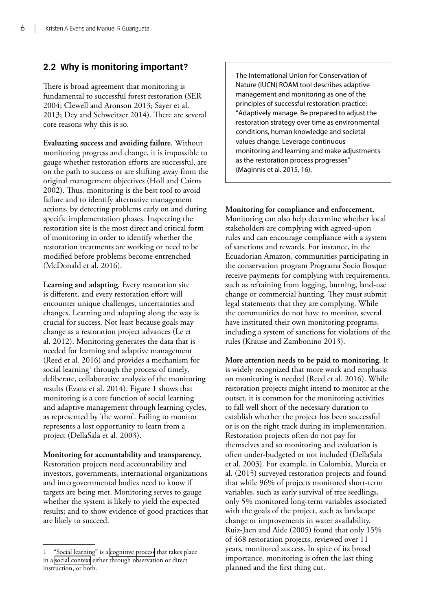#### <span id="page-15-0"></span>**2.2 Why is monitoring important?**

There is broad agreement that monitoring is fundamental to successful forest restoration (SER 2004; Clewell and Aronson 2013; Sayer et al. 2013; Dey and Schweitzer 2014). There are several core reasons why this is so.

**Evaluating success and avoiding failure.** Without monitoring progress and change, it is impossible to gauge whether restoration efforts are successful, are on the path to success or are shifting away from the original management objectives (Holl and Cairns 2002). Thus, monitoring is the best tool to avoid failure and to identify alternative management actions, by detecting problems early on and during specific implementation phases. Inspecting the restoration site is the most direct and critical form of monitoring in order to identify whether the restoration treatments are working or need to be modified before problems become entrenched (McDonald et al. 2016).

**Learning and adapting.** Every restoration site is different, and every restoration effort will encounter unique challenges, uncertainties and changes. Learning and adapting along the way is crucial for success. Not least because goals may change as a restoration project advances (Le et al. 2012). Monitoring generates the data that is needed for learning and adaptive management (Reed et al. 2016) and provides a mechanism for social learning<sup>1</sup> through the process of timely, deliberate, collaborative analysis of the monitoring results (Evans et al. 2014). Figure 1 shows that monitoring is a core function of social learning and adaptive management through learning cycles, as represented by 'the worm'. Failing to monitor represents a lost opportunity to learn from a project (DellaSala et al. 2003).

**Monitoring for accountability and transparency.** Restoration projects need accountability and investors, governments, international organizations and intergovernmental bodies need to know if targets are being met. Monitoring serves to gauge whether the system is likely to yield the expected results; and to show evidence of good practices that are likely to succeed.

The International Union for Conservation of Nature (IUCN) ROAM tool describes adaptive management and monitoring as one of the principles of successful restoration practice: "Adaptively manage. Be prepared to adjust the restoration strategy over time as environmental conditions, human knowledge and societal values change. Leverage continuous monitoring and learning and make adjustments as the restoration process progresses" (Maginnis et al. 2015, 16).

**Monitoring for compliance and enforcement.** Monitoring can also help determine whether local stakeholders are complying with agreed-upon rules and can encourage compliance with a system of sanctions and rewards. For instance, in the Ecuadorian Amazon, communities participating in the conservation program Programa Socio Bosque receive payments for complying with requirements, such as refraining from logging, burning, land-use change or commercial hunting. They must submit legal statements that they are complying. While the communities do not have to monitor, several have instituted their own monitoring programs, including a system of sanctions for violations of the rules (Krause and Zambonino 2013).

**More attention needs to be paid to monitoring.** It is widely recognized that more work and emphasis on monitoring is needed (Reed et al. 2016). While restoration projects might intend to monitor at the outset, it is common for the monitoring activities to fall well short of the necessary duration to establish whether the project has been successful or is on the right track during its implementation. Restoration projects often do not pay for themselves and so monitoring and evaluation is often under-budgeted or not included (DellaSala et al. 2003). For example, in Colombia, Murcia et al. (2015) surveyed restoration projects and found that while 96% of projects monitored short-term variables, such as early survival of tree seedlings, only 5% monitored long-term variables associated with the goals of the project, such as landscape change or improvements in water availability. Ruiz-Jaen and Aide (2005) found that only 15% of 468 restoration projects, reviewed over 11 years, monitored success. In spite of its broad importance, monitoring is often the last thing planned and the first thing cut.

<sup>1</sup> "Social learning" is a [cognitive process](https://en.wikipedia.org/wiki/Cognitive_process) that takes place in a [social context](numbering.xml) either through observation or direct instruction, or both.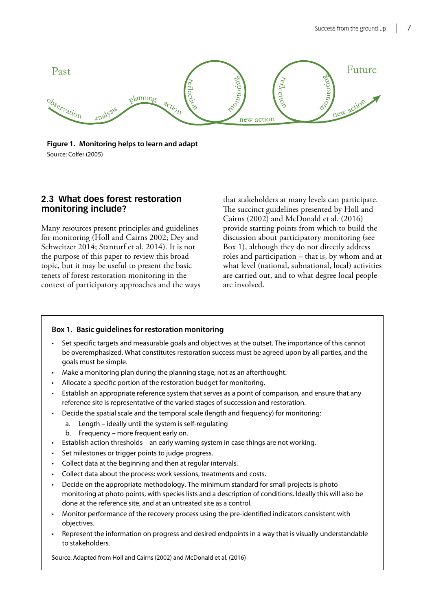<span id="page-16-0"></span>

**Figure 1. Monitoring helps to learn and adapt** Source: Colfer (2005)

#### **2.3 What does forest restoration monitoring include?**

Many resources present principles and guidelines for monitoring (Holl and Cairns 2002; Dey and Schweitzer 2014; Stanturf et al. 2014). It is not the purpose of this paper to review this broad topic, but it may be useful to present the basic tenets of forest restoration monitoring in the context of participatory approaches and the ways

that stakeholders at many levels can participate. The succinct guidelines presented by Holl and Cairns (2002) and McDonald et al. (2016) provide starting points from which to build the discussion about participatory monitoring (see Box 1), although they do not directly address roles and participation – that is, by whom and at what level (national, subnational, local) activities are carried out, and to what degree local people are involved.

#### **Box 1. Basic guidelines for restoration monitoring**

- Set specific targets and measurable goals and objectives at the outset. The importance of this cannot be overemphasized. What constitutes restoration success must be agreed upon by all parties, and the goals must be simple.
- Make a monitoring plan during the planning stage, not as an afterthought.
- Allocate a specific portion of the restoration budget for monitoring.
- Establish an appropriate reference system that serves as a point of comparison, and ensure that any reference site is representative of the varied stages of succession and restoration.
- Decide the spatial scale and the temporal scale (length and frequency) for monitoring:
	- a. Length ideally until the system is self-regulating
	- b. Frequency more frequent early on.
- Establish action thresholds an early warning system in case things are not working.
- Set milestones or trigger points to judge progress.
- • Collect data at the beginning and then at regular intervals.
- Collect data about the process: work sessions, treatments and costs.
- Decide on the appropriate methodology. The minimum standard for small projects is photo monitoring at photo points, with species lists and a description of conditions. Ideally this will also be done at the reference site, and at an untreated site as a control.
- Monitor performance of the recovery process using the pre-identified indicators consistent with objectives.
- Represent the information on progress and desired endpoints in a way that is visually understandable to stakeholders.

Source: Adapted from Holl and Cairns (2002) and McDonald et al. (2016)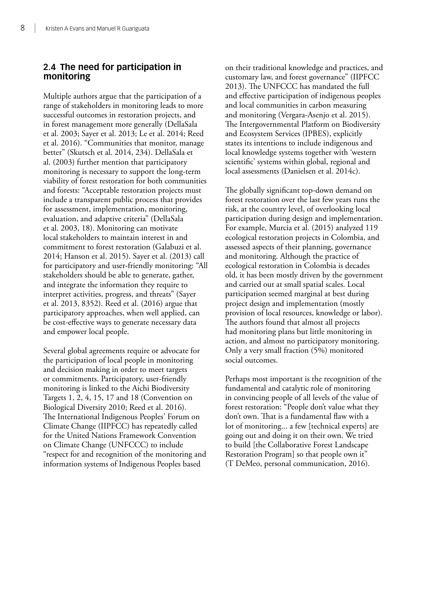#### <span id="page-17-0"></span>**2.4 The need for participation in monitoring**

Multiple authors argue that the participation of a range of stakeholders in monitoring leads to more successful outcomes in restoration projects, and in forest management more generally (DellaSala et al. 2003; Sayer et al. 2013; Le et al. 2014; Reed et al. 2016). "Communities that monitor, manage better" (Skutsch et al. 2014, 234). DellaSala et al. (2003) further mention that participatory monitoring is necessary to support the long-term viability of forest restoration for both communities and forests: "Acceptable restoration projects must include a transparent public process that provides for assessment, implementation, monitoring, evaluation, and adaptive criteria" (DellaSala et al. 2003, 18). Monitoring can motivate local stakeholders to maintain interest in and commitment to forest restoration (Galabuzi et al. 2014; Hanson et al. 2015). Sayer et al. (2013) call for participatory and user-friendly monitoring: "All stakeholders should be able to generate, gather, and integrate the information they require to interpret activities, progress, and threats" (Sayer et al. 2013, 8352). Reed et al. (2016) argue that participatory approaches, when well applied, can be cost-effective ways to generate necessary data and empower local people.

Several global agreements require or advocate for the participation of local people in monitoring and decision making in order to meet targets or commitments. Participatory, user-friendly monitoring is linked to the Aichi Biodiversity Targets 1, 2, 4, 15, 17 and 18 (Convention on Biological Diversity 2010; Reed et al. 2016). The International Indigenous Peoples' Forum on Climate Change (IIPFCC) has repeatedly called for the United Nations Framework Convention on Climate Change (UNFCCC) to include "respect for and recognition of the monitoring and information systems of Indigenous Peoples based

on their traditional knowledge and practices, and customary law, and forest governance" (IIPFCC 2013). The UNFCCC has mandated the full and effective participation of indigenous peoples and local communities in carbon measuring and monitoring (Vergara-Asenjo et al. 2015). The Intergovernmental Platform on Biodiversity and Ecosystem Services (IPBES), explicitly states its intentions to include indigenous and local knowledge systems together with 'western scientific' systems within global, regional and local assessments (Danielsen et al. 2014c).

The globally significant top-down demand on forest restoration over the last few years runs the risk, at the country level, of overlooking local participation during design and implementation. For example, Murcia et al. (2015) analyzed 119 ecological restoration projects in Colombia, and assessed aspects of their planning, governance and monitoring. Although the practice of ecological restoration in Colombia is decades old, it has been mostly driven by the government and carried out at small spatial scales. Local participation seemed marginal at best during project design and implementation (mostly provision of local resources, knowledge or labor). The authors found that almost all projects had monitoring plans but little monitoring in action, and almost no participatory monitoring. Only a very small fraction (5%) monitored social outcomes.

Perhaps most important is the recognition of the fundamental and catalytic role of monitoring in convincing people of all levels of the value of forest restoration: "People don't value what they don't own. That is a fundamental flaw with a lot of monitoring... a few [technical experts] are going out and doing it on their own. We tried to build [the Collaborative Forest Landscape Restoration Program] so that people own it" (T DeMeo, personal communication, 2016).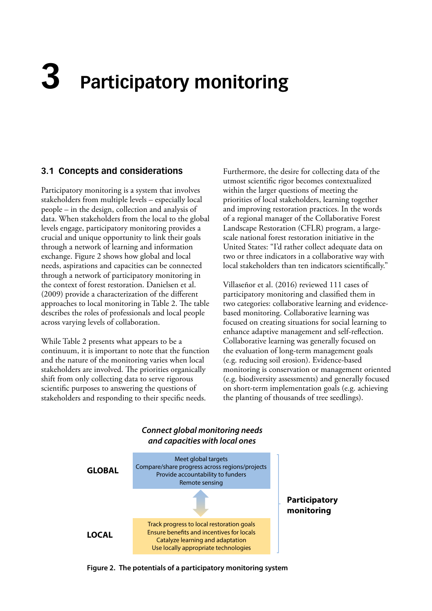# <span id="page-18-0"></span>**3 Participatory monitoring**

#### **3.1 Concepts and considerations**

Participatory monitoring is a system that involves stakeholders from multiple levels – especially local people – in the design, collection and analysis of data. When stakeholders from the local to the global levels engage, participatory monitoring provides a crucial and unique opportunity to link their goals through a network of learning and information exchange. Figure 2 shows how global and local needs, aspirations and capacities can be connected through a network of participatory monitoring in the context of forest restoration. Danielsen et al. (2009) provide a characterization of the different approaches to local monitoring in Table 2. The table describes the roles of professionals and local people across varying levels of collaboration.

While Table 2 presents what appears to be a continuum, it is important to note that the function and the nature of the monitoring varies when local stakeholders are involved. The priorities organically shift from only collecting data to serve rigorous scientific purposes to answering the questions of stakeholders and responding to their specific needs.

Furthermore, the desire for collecting data of the utmost scientific rigor becomes contextualized within the larger questions of meeting the priorities of local stakeholders, learning together and improving restoration practices. In the words of a regional manager of the Collaborative Forest Landscape Restoration (CFLR) program, a largescale national forest restoration initiative in the United States: "I'd rather collect adequate data on two or three indicators in a collaborative way with local stakeholders than ten indicators scientifically."

Villaseñor et al. (2016) reviewed 111 cases of participatory monitoring and classified them in two categories: collaborative learning and evidencebased monitoring. Collaborative learning was focused on creating situations for social learning to enhance adaptive management and self-reflection. Collaborative learning was generally focused on the evaluation of long-term management goals (e.g. reducing soil erosion). Evidence-based monitoring is conservation or management oriented (e.g. biodiversity assessments) and generally focused on short-term implementation goals (e.g. achieving the planting of thousands of tree seedlings).



### *Connect global monitoring needs*

**Figure 2. The potentials of a participatory monitoring system**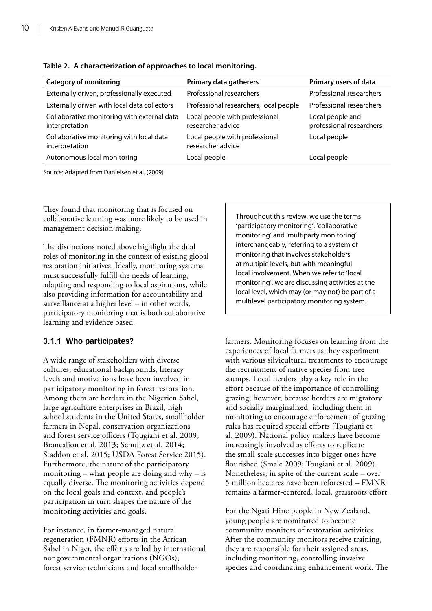| <b>Category of monitoring</b>                                 | Primary data gatherers                              | Primary users of data                        |
|---------------------------------------------------------------|-----------------------------------------------------|----------------------------------------------|
| Externally driven, professionally executed                    | Professional researchers                            | Professional researchers                     |
| Externally driven with local data collectors                  | Professional researchers, local people              | Professional researchers                     |
| Collaborative monitoring with external data<br>interpretation | Local people with professional<br>researcher advice | Local people and<br>professional researchers |
| Collaborative monitoring with local data<br>interpretation    | Local people with professional<br>researcher advice | Local people                                 |
| Autonomous local monitoring                                   | Local people                                        | Local people                                 |

<span id="page-19-0"></span>

|  | Table 2. A characterization of approaches to local monitoring. |  |  |  |  |
|--|----------------------------------------------------------------|--|--|--|--|
|  |                                                                |  |  |  |  |

Source: Adapted from Danielsen et al. (2009)

They found that monitoring that is focused on collaborative learning was more likely to be used in management decision making.

The distinctions noted above highlight the dual roles of monitoring in the context of existing global restoration initiatives. Ideally, monitoring systems must successfully fulfill the needs of learning, adapting and responding to local aspirations, while also providing information for accountability and surveillance at a higher level – in other words, participatory monitoring that is both collaborative learning and evidence based.

#### **3.1.1 Who participates?**

A wide range of stakeholders with diverse cultures, educational backgrounds, literacy levels and motivations have been involved in participatory monitoring in forest restoration. Among them are herders in the Nigerien Sahel, large agriculture enterprises in Brazil, high school students in the United States, smallholder farmers in Nepal, conservation organizations and forest service officers (Tougiani et al. 2009; Brancalion et al. 2013; Schultz et al. 2014; Staddon et al. 2015; USDA Forest Service 2015). Furthermore, the nature of the participatory monitoring – what people are doing and why – is equally diverse. The monitoring activities depend on the local goals and context, and people's participation in turn shapes the nature of the monitoring activities and goals.

For instance, in farmer-managed natural regeneration (FMNR) efforts in the African Sahel in Niger, the efforts are led by international nongovernmental organizations (NGOs), forest service technicians and local smallholder

Throughout this review, we use the terms 'participatory monitoring', 'collaborative monitoring' and 'multiparty monitoring' interchangeably, referring to a system of monitoring that involves stakeholders at multiple levels, but with meaningful local involvement. When we refer to 'local monitoring', we are discussing activities at the local level, which may (or may not) be part of a multilevel participatory monitoring system.

farmers. Monitoring focuses on learning from the experiences of local farmers as they experiment with various silvicultural treatments to encourage the recruitment of native species from tree stumps. Local herders play a key role in the effort because of the importance of controlling grazing; however, because herders are migratory and socially marginalized, including them in monitoring to encourage enforcement of grazing rules has required special efforts (Tougiani et al. 2009). National policy makers have become increasingly involved as efforts to replicate the small-scale successes into bigger ones have flourished (Smale 2009; Tougiani et al. 2009). Nonetheless, in spite of the current scale – over 5 million hectares have been reforested – FMNR remains a farmer-centered, local, grassroots effort.

For the Ngati Hine people in New Zealand, young people are nominated to become community monitors of restoration activities. After the community monitors receive training, they are responsible for their assigned areas, including monitoring, controlling invasive species and coordinating enhancement work. The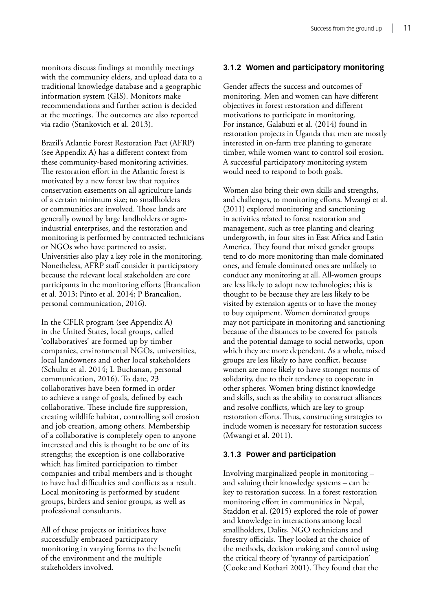monitors discuss findings at monthly meetings with the community elders, and upload data to a traditional knowledge database and a geographic information system (GIS). Monitors make recommendations and further action is decided at the meetings. The outcomes are also reported via radio (Stankovich et al. 2013).

Brazil's Atlantic Forest Restoration Pact (AFRP) (see Appendix A) has a different context from these community-based monitoring activities. The restoration effort in the Atlantic forest is motivated by a new forest law that requires conservation easements on all agriculture lands of a certain minimum size; no smallholders or communities are involved. Those lands are generally owned by large landholders or agroindustrial enterprises, and the restoration and monitoring is performed by contracted technicians or NGOs who have partnered to assist. Universities also play a key role in the monitoring. Nonetheless, AFRP staff consider it participatory because the relevant local stakeholders are core participants in the monitoring efforts (Brancalion et al. 2013; Pinto et al. 2014; P Brancalion, personal communication, 2016).

In the CFLR program (see Appendix A) in the United States, local groups, called 'collaboratives' are formed up by timber companies, environmental NGOs, universities, local landowners and other local stakeholders (Schultz et al. 2014; L Buchanan, personal communication, 2016). To date, 23 collaboratives have been formed in order to achieve a range of goals, defined by each collaborative. These include fire suppression, creating wildlife habitat, controlling soil erosion and job creation, among others. Membership of a collaborative is completely open to anyone interested and this is thought to be one of its strengths; the exception is one collaborative which has limited participation to timber companies and tribal members and is thought to have had difficulties and conflicts as a result. Local monitoring is performed by student groups, birders and senior groups, as well as professional consultants.

All of these projects or initiatives have successfully embraced participatory monitoring in varying forms to the benefit of the environment and the multiple stakeholders involved.

#### **3.1.2 Women and participatory monitoring**

Gender affects the success and outcomes of monitoring. Men and women can have different objectives in forest restoration and different motivations to participate in monitoring. For instance, Galabuzi et al. (2014) found in restoration projects in Uganda that men are mostly interested in on-farm tree planting to generate timber, while women want to control soil erosion. A successful participatory monitoring system would need to respond to both goals.

Women also bring their own skills and strengths, and challenges, to monitoring efforts. Mwangi et al. (2011) explored monitoring and sanctioning in activities related to forest restoration and management, such as tree planting and clearing undergrowth, in four sites in East Africa and Latin America. They found that mixed gender groups tend to do more monitoring than male dominated ones, and female dominated ones are unlikely to conduct any monitoring at all. All-women groups are less likely to adopt new technologies; this is thought to be because they are less likely to be visited by extension agents or to have the money to buy equipment. Women dominated groups may not participate in monitoring and sanctioning because of the distances to be covered for patrols and the potential damage to social networks, upon which they are more dependent. As a whole, mixed groups are less likely to have conflict, because women are more likely to have stronger norms of solidarity, due to their tendency to cooperate in other spheres. Women bring distinct knowledge and skills, such as the ability to construct alliances and resolve conflicts, which are key to group restoration efforts. Thus, constructing strategies to include women is necessary for restoration success (Mwangi et al. 2011).

#### **3.1.3 Power and participation**

Involving marginalized people in monitoring – and valuing their knowledge systems – can be key to restoration success. In a forest restoration monitoring effort in communities in Nepal, Staddon et al. (2015) explored the role of power and knowledge in interactions among local smallholders, Dalits, NGO technicians and forestry officials. They looked at the choice of the methods, decision making and control using the critical theory of 'tyranny of participation' (Cooke and Kothari 2001). They found that the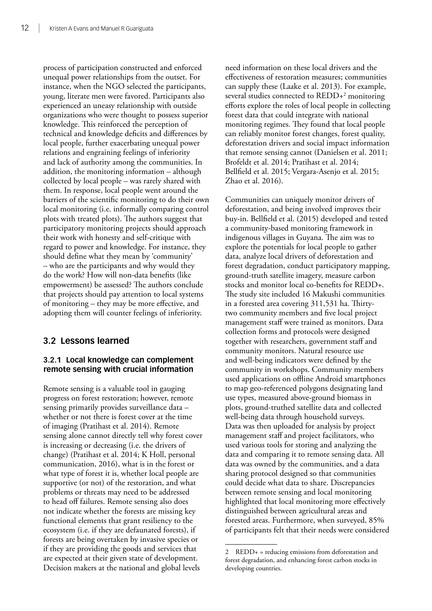<span id="page-21-0"></span>process of participation constructed and enforced unequal power relationships from the outset. For instance, when the NGO selected the participants, young, literate men were favored. Participants also experienced an uneasy relationship with outside organizations who were thought to possess superior knowledge. This reinforced the perception of technical and knowledge deficits and differences by local people, further exacerbating unequal power relations and engraining feelings of inferiority and lack of authority among the communities. In addition, the monitoring information – although collected by local people – was rarely shared with them. In response, local people went around the barriers of the scientific monitoring to do their own local monitoring (i.e. informally comparing control plots with treated plots). The authors suggest that participatory monitoring projects should approach their work with honesty and self-critique with regard to power and knowledge. For instance, they should define what they mean by 'community' – who are the participants and why would they do the work? How will non-data benefits (like empowerment) be assessed? The authors conclude that projects should pay attention to local systems of monitoring – they may be more effective, and adopting them will counter feelings of inferiority.

#### **3.2 Lessons learned**

#### **3.2.1 Local knowledge can complement remote sensing with crucial information**

Remote sensing is a valuable tool in gauging progress on forest restoration; however, remote sensing primarily provides surveillance data – whether or not there is forest cover at the time of imaging (Pratihast et al. 2014). Remote sensing alone cannot directly tell why forest cover is increasing or decreasing (i.e. the drivers of change) (Pratihast et al. 2014; K Holl, personal communication, 2016), what is in the forest or what type of forest it is, whether local people are supportive (or not) of the restoration, and what problems or threats may need to be addressed to head off failures. Remote sensing also does not indicate whether the forests are missing key functional elements that grant resiliency to the ecosystem (i.e. if they are defaunated forests), if forests are being overtaken by invasive species or if they are providing the goods and services that are expected at their given state of development. Decision makers at the national and global levels

need information on these local drivers and the effectiveness of restoration measures; communities can supply these (Laake et al. 2013). For example, several studies connected to REDD+2 monitoring efforts explore the roles of local people in collecting forest data that could integrate with national monitoring regimes. They found that local people can reliably monitor forest changes, forest quality, deforestation drivers and social impact information that remote sensing cannot (Danielsen et al. 2011; Brofeldt et al. 2014; Pratihast et al. 2014; Bellfield et al. 2015; Vergara-Asenjo et al. 2015; Zhao et al. 2016).

Communities can uniquely monitor drivers of deforestation, and being involved improves their buy-in. Bellfield et al. (2015) developed and tested a community-based monitoring framework in indigenous villages in Guyana. The aim was to explore the potentials for local people to gather data, analyze local drivers of deforestation and forest degradation, conduct participatory mapping, ground-truth satellite imagery, measure carbon stocks and monitor local co-benefits for REDD+. The study site included 16 Makushi communities in a forested area covering 311,531 ha. Thirtytwo community members and five local project management staff were trained as monitors. Data collection forms and protocols were designed together with researchers, government staff and community monitors. Natural resource use and well-being indicators were defined by the community in workshops. Community members used applications on offline Android smartphones to map geo-referenced polygons designating land use types, measured above-ground biomass in plots, ground-truthed satellite data and collected well-being data through household surveys. Data was then uploaded for analysis by project management staff and project facilitators, who used various tools for storing and analyzing the data and comparing it to remote sensing data. All data was owned by the communities, and a data sharing protocol designed so that communities could decide what data to share. Discrepancies between remote sensing and local monitoring highlighted that local monitoring more effectively distinguished between agricultural areas and forested areas. Furthermore, when surveyed, 85% of participants felt that their needs were considered

<sup>2</sup> REDD+ = reducing emissions from deforestation and forest degradation, and enhancing forest carbon stocks in developing countries.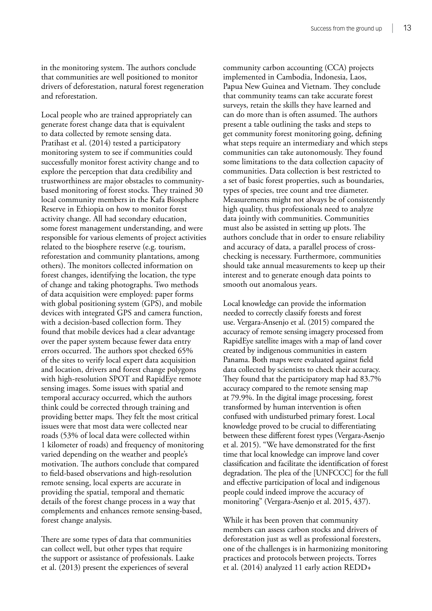in the monitoring system. The authors conclude that communities are well positioned to monitor drivers of deforestation, natural forest regeneration and reforestation.

Local people who are trained appropriately can generate forest change data that is equivalent to data collected by remote sensing data. Pratihast et al. (2014) tested a participatory monitoring system to see if communities could successfully monitor forest activity change and to explore the perception that data credibility and trustworthiness are major obstacles to communitybased monitoring of forest stocks. They trained 30 local community members in the Kafa Biosphere Reserve in Ethiopia on how to monitor forest activity change. All had secondary education, some forest management understanding, and were responsible for various elements of project activities related to the biosphere reserve (e.g. tourism, reforestation and community plantations, among others). The monitors collected information on forest changes, identifying the location, the type of change and taking photographs. Two methods of data acquisition were employed: paper forms with global positioning system (GPS), and mobile devices with integrated GPS and camera function, with a decision-based collection form. They found that mobile devices had a clear advantage over the paper system because fewer data entry errors occurred. The authors spot checked 65% of the sites to verify local expert data acquisition and location, drivers and forest change polygons with high-resolution SPOT and RapidEye remote sensing images. Some issues with spatial and temporal accuracy occurred, which the authors think could be corrected through training and providing better maps. They felt the most critical issues were that most data were collected near roads (53% of local data were collected within 1 kilometer of roads) and frequency of monitoring varied depending on the weather and people's motivation. The authors conclude that compared to field-based observations and high-resolution remote sensing, local experts are accurate in providing the spatial, temporal and thematic details of the forest change process in a way that complements and enhances remote sensing-based, forest change analysis.

There are some types of data that communities can collect well, but other types that require the support or assistance of professionals. Laake et al. (2013) present the experiences of several

community carbon accounting (CCA) projects implemented in Cambodia, Indonesia, Laos, Papua New Guinea and Vietnam. They conclude that community teams can take accurate forest surveys, retain the skills they have learned and can do more than is often assumed. The authors present a table outlining the tasks and steps to get community forest monitoring going, defining what steps require an intermediary and which steps communities can take autonomously. They found some limitations to the data collection capacity of communities. Data collection is best restricted to a set of basic forest properties, such as boundaries, types of species, tree count and tree diameter. Measurements might not always be of consistently high quality, thus professionals need to analyze data jointly with communities. Communities must also be assisted in setting up plots. The authors conclude that in order to ensure reliability and accuracy of data, a parallel process of crosschecking is necessary. Furthermore, communities should take annual measurements to keep up their interest and to generate enough data points to smooth out anomalous years.

Local knowledge can provide the information needed to correctly classify forests and forest use. Vergara-Ansenjo et al. (2015) compared the accuracy of remote sensing imagery processed from RapidEye satellite images with a map of land cover created by indigenous communities in eastern Panama. Both maps were evaluated against field data collected by scientists to check their accuracy. They found that the participatory map had 83.7% accuracy compared to the remote sensing map at 79.9%. In the digital image processing, forest transformed by human intervention is often confused with undisturbed primary forest. Local knowledge proved to be crucial to differentiating between these different forest types (Vergara-Asenjo et al. 2015). "We have demonstrated for the first time that local knowledge can improve land cover classification and facilitate the identification of forest degradation. The plea of the [UNFCCC] for the full and effective participation of local and indigenous people could indeed improve the accuracy of monitoring" (Vergara-Asenjo et al. 2015, 437).

While it has been proven that community members can assess carbon stocks and drivers of deforestation just as well as professional foresters, one of the challenges is in harmonizing monitoring practices and protocols between projects. Torres et al. (2014) analyzed 11 early action REDD+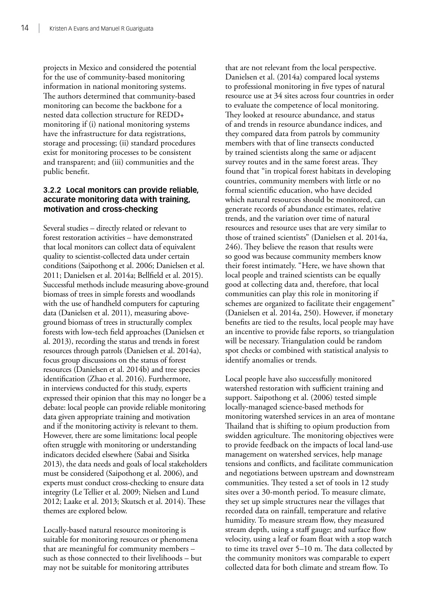projects in Mexico and considered the potential for the use of community-based monitoring information in national monitoring systems. The authors determined that community-based monitoring can become the backbone for a nested data collection structure for REDD+ monitoring if (i) national monitoring systems have the infrastructure for data registrations, storage and processing; (ii) standard procedures exist for monitoring processes to be consistent and transparent; and (iii) communities and the public benefit.

#### **3.2.2 Local monitors can provide reliable, accurate monitoring data with training, motivation and cross-checking**

Several studies – directly related or relevant to forest restoration activities – have demonstrated that local monitors can collect data of equivalent quality to scientist-collected data under certain conditions (Saipothong et al. 2006; Danielsen et al. 2011; Danielsen et al. 2014a; Bellfield et al. 2015). Successful methods include measuring above-ground biomass of trees in simple forests and woodlands with the use of handheld computers for capturing data (Danielsen et al. 2011), measuring aboveground biomass of trees in structurally complex forests with low-tech field approaches (Danielsen et al. 2013), recording the status and trends in forest resources through patrols (Danielsen et al. 2014a), focus group discussions on the status of forest resources (Danielsen et al. 2014b) and tree species identification (Zhao et al. 2016). Furthermore, in interviews conducted for this study, experts expressed their opinion that this may no longer be a debate: local people can provide reliable monitoring data given appropriate training and motivation and if the monitoring activity is relevant to them. However, there are some limitations: local people often struggle with monitoring or understanding indicators decided elsewhere (Sabai and Sisitka 2013), the data needs and goals of local stakeholders must be considered (Saipothong et al. 2006), and experts must conduct cross-checking to ensure data integrity (Le Tellier et al. 2009; Nielsen and Lund 2012; Laake et al. 2013; Skutsch et al. 2014). These themes are explored below.

Locally-based natural resource monitoring is suitable for monitoring resources or phenomena that are meaningful for community members – such as those connected to their livelihoods – but may not be suitable for monitoring attributes

that are not relevant from the local perspective. Danielsen et al. (2014a) compared local systems to professional monitoring in five types of natural resource use at 34 sites across four countries in order to evaluate the competence of local monitoring. They looked at resource abundance, and status of and trends in resource abundance indices, and they compared data from patrols by community members with that of line transects conducted by trained scientists along the same or adjacent survey routes and in the same forest areas. They found that "in tropical forest habitats in developing countries, community members with little or no formal scientific education, who have decided which natural resources should be monitored, can generate records of abundance estimates, relative trends, and the variation over time of natural resources and resource uses that are very similar to those of trained scientists" (Danielsen et al. 2014a, 246). They believe the reason that results were so good was because community members know their forest intimately. "Here, we have shown that local people and trained scientists can be equally good at collecting data and, therefore, that local communities can play this role in monitoring if schemes are organized to facilitate their engagement" (Danielsen et al. 2014a, 250). However, if monetary benefits are tied to the results, local people may have an incentive to provide false reports, so triangulation will be necessary. Triangulation could be random spot checks or combined with statistical analysis to identify anomalies or trends.

Local people have also successfully monitored watershed restoration with sufficient training and support. Saipothong et al. (2006) tested simple locally-managed science-based methods for monitoring watershed services in an area of montane Thailand that is shifting to opium production from swidden agriculture. The monitoring objectives were to provide feedback on the impacts of local land-use management on watershed services, help manage tensions and conflicts, and facilitate communication and negotiations between upstream and downstream communities. They tested a set of tools in 12 study sites over a 30-month period. To measure climate, they set up simple structures near the villages that recorded data on rainfall, temperature and relative humidity. To measure stream flow, they measured stream depth, using a staff gauge; and surface flow velocity, using a leaf or foam float with a stop watch to time its travel over 5–10 m. The data collected by the community monitors was comparable to expert collected data for both climate and stream flow. To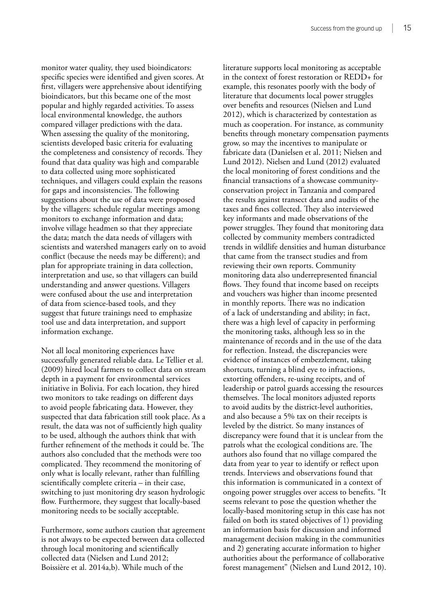monitor water quality, they used bioindicators: specific species were identified and given scores. At first, villagers were apprehensive about identifying bioindicators, but this became one of the most popular and highly regarded activities. To assess local environmental knowledge, the authors compared villager predictions with the data. When assessing the quality of the monitoring, scientists developed basic criteria for evaluating the completeness and consistency of records. They found that data quality was high and comparable to data collected using more sophisticated techniques, and villagers could explain the reasons for gaps and inconsistencies. The following suggestions about the use of data were proposed by the villagers: schedule regular meetings among monitors to exchange information and data; involve village headmen so that they appreciate the data; match the data needs of villagers with scientists and watershed managers early on to avoid conflict (because the needs may be different); and plan for appropriate training in data collection, interpretation and use, so that villagers can build understanding and answer questions. Villagers were confused about the use and interpretation of data from science-based tools, and they suggest that future trainings need to emphasize tool use and data interpretation, and support information exchange.

Not all local monitoring experiences have successfully generated reliable data. Le Tellier et al. (2009) hired local farmers to collect data on stream depth in a payment for environmental services initiative in Bolivia. For each location, they hired two monitors to take readings on different days to avoid people fabricating data. However, they suspected that data fabrication still took place. As a result, the data was not of sufficiently high quality to be used, although the authors think that with further refinement of the methods it could be. The authors also concluded that the methods were too complicated. They recommend the monitoring of only what is locally relevant, rather than fulfilling scientifically complete criteria – in their case, switching to just monitoring dry season hydrologic flow. Furthermore, they suggest that locally-based monitoring needs to be socially acceptable.

Furthermore, some authors caution that agreement is not always to be expected between data collected through local monitoring and scientifically collected data (Nielsen and Lund 2012; Boissière et al. 2014a,b). While much of the

literature supports local monitoring as acceptable in the context of forest restoration or REDD+ for example, this resonates poorly with the body of literature that documents local power struggles over benefits and resources (Nielsen and Lund 2012), which is characterized by contestation as much as cooperation. For instance, as community benefits through monetary compensation payments grow, so may the incentives to manipulate or fabricate data (Danielsen et al. 2011; Nielsen and Lund 2012). Nielsen and Lund (2012) evaluated the local monitoring of forest conditions and the financial transactions of a showcase communityconservation project in Tanzania and compared the results against transect data and audits of the taxes and fines collected. They also interviewed key informants and made observations of the power struggles. They found that monitoring data collected by community members contradicted trends in wildlife densities and human disturbance that came from the transect studies and from reviewing their own reports. Community monitoring data also underrepresented financial flows. They found that income based on receipts and vouchers was higher than income presented in monthly reports. There was no indication of a lack of understanding and ability; in fact, there was a high level of capacity in performing the monitoring tasks, although less so in the maintenance of records and in the use of the data for reflection. Instead, the discrepancies were evidence of instances of embezzlement, taking shortcuts, turning a blind eye to infractions, extorting offenders, re-using receipts, and of leadership or patrol guards accessing the resources themselves. The local monitors adjusted reports to avoid audits by the district-level authorities, and also because a 5% tax on their receipts is leveled by the district. So many instances of discrepancy were found that it is unclear from the patrols what the ecological conditions are. The authors also found that no village compared the data from year to year to identify or reflect upon trends. Interviews and observations found that this information is communicated in a context of ongoing power struggles over access to benefits. "It seems relevant to pose the question whether the locally-based monitoring setup in this case has not failed on both its stated objectives of 1) providing an information basis for discussion and informed management decision making in the communities and 2) generating accurate information to higher authorities about the performance of collaborative forest management" (Nielsen and Lund 2012, 10).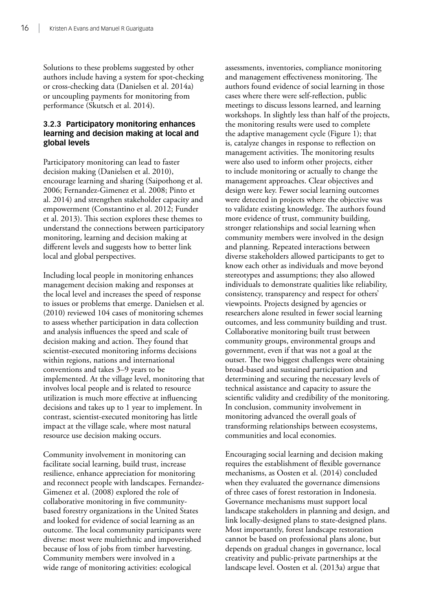Solutions to these problems suggested by other authors include having a system for spot-checking or cross-checking data (Danielsen et al. 2014a) or uncoupling payments for monitoring from performance (Skutsch et al. 2014).

#### **3.2.3 Participatory monitoring enhances learning and decision making at local and global levels**

Participatory monitoring can lead to faster decision making (Danielsen et al. 2010), encourage learning and sharing (Saipothong et al. 2006; Fernandez-Gimenez et al. 2008; Pinto et al. 2014) and strengthen stakeholder capacity and empowerment (Constantino et al. 2012; Funder et al. 2013). This section explores these themes to understand the connections between participatory monitoring, learning and decision making at different levels and suggests how to better link local and global perspectives.

Including local people in monitoring enhances management decision making and responses at the local level and increases the speed of response to issues or problems that emerge. Danielsen et al. (2010) reviewed 104 cases of monitoring schemes to assess whether participation in data collection and analysis influences the speed and scale of decision making and action. They found that scientist-executed monitoring informs decisions within regions, nations and international conventions and takes 3–9 years to be implemented. At the village level, monitoring that involves local people and is related to resource utilization is much more effective at influencing decisions and takes up to 1 year to implement. In contrast, scientist-executed monitoring has little impact at the village scale, where most natural resource use decision making occurs.

Community involvement in monitoring can facilitate social learning, build trust, increase resilience, enhance appreciation for monitoring and reconnect people with landscapes. Fernandez-Gimenez et al. (2008) explored the role of collaborative monitoring in five communitybased forestry organizations in the United States and looked for evidence of social learning as an outcome. The local community participants were diverse: most were multiethnic and impoverished because of loss of jobs from timber harvesting. Community members were involved in a wide range of monitoring activities: ecological

assessments, inventories, compliance monitoring and management effectiveness monitoring. The authors found evidence of social learning in those cases where there were self-reflection, public meetings to discuss lessons learned, and learning workshops. In slightly less than half of the projects, the monitoring results were used to complete the adaptive management cycle (Figure 1); that is, catalyze changes in response to reflection on management activities. The monitoring results were also used to inform other projects, either to include monitoring or actually to change the management approaches. Clear objectives and design were key. Fewer social learning outcomes were detected in projects where the objective was to validate existing knowledge. The authors found more evidence of trust, community building, stronger relationships and social learning when community members were involved in the design and planning. Repeated interactions between diverse stakeholders allowed participants to get to know each other as individuals and move beyond stereotypes and assumptions; they also allowed individuals to demonstrate qualities like reliability, consistency, transparency and respect for others' viewpoints. Projects designed by agencies or researchers alone resulted in fewer social learning outcomes, and less community building and trust. Collaborative monitoring built trust between community groups, environmental groups and government, even if that was not a goal at the outset. The two biggest challenges were obtaining broad-based and sustained participation and determining and securing the necessary levels of technical assistance and capacity to assure the scientific validity and credibility of the monitoring. In conclusion, community involvement in monitoring advanced the overall goals of transforming relationships between ecosystems, communities and local economies.

Encouraging social learning and decision making requires the establishment of flexible governance mechanisms, as Oosten et al. (2014) concluded when they evaluated the governance dimensions of three cases of forest restoration in Indonesia. Governance mechanisms must support local landscape stakeholders in planning and design, and link locally-designed plans to state-designed plans. Most importantly, forest landscape restoration cannot be based on professional plans alone, but depends on gradual changes in governance, local creativity and public-private partnerships at the landscape level. Oosten et al. (2013a) argue that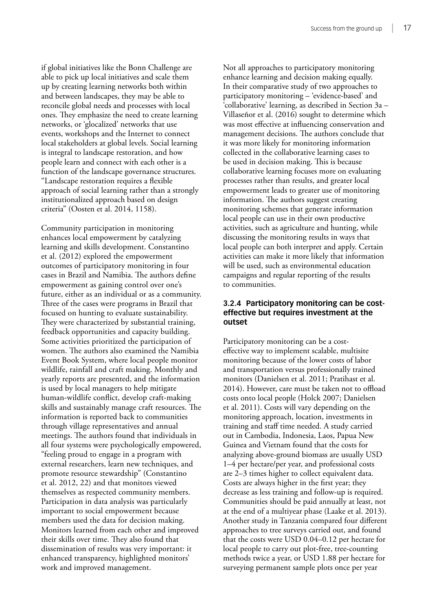if global initiatives like the Bonn Challenge are able to pick up local initiatives and scale them up by creating learning networks both within and between landscapes, they may be able to reconcile global needs and processes with local ones. They emphasize the need to create learning networks, or 'glocalized' networks that use events, workshops and the Internet to connect local stakeholders at global levels. Social learning is integral to landscape restoration, and how people learn and connect with each other is a function of the landscape governance structures. "Landscape restoration requires a flexible approach of social learning rather than a strongly institutionalized approach based on design criteria" (Oosten et al. 2014, 1158).

Community participation in monitoring enhances local empowerment by catalyzing learning and skills development. Constantino et al. (2012) explored the empowerment outcomes of participatory monitoring in four cases in Brazil and Namibia. The authors define empowerment as gaining control over one's future, either as an individual or as a community. Three of the cases were programs in Brazil that focused on hunting to evaluate sustainability. They were characterized by substantial training, feedback opportunities and capacity building. Some activities prioritized the participation of women. The authors also examined the Namibia Event Book System, where local people monitor wildlife, rainfall and craft making. Monthly and yearly reports are presented, and the information is used by local managers to help mitigate human-wildlife conflict, develop craft-making skills and sustainably manage craft resources. The information is reported back to communities through village representatives and annual meetings. The authors found that individuals in all four systems were psychologically empowered, "feeling proud to engage in a program with external researchers, learn new techniques, and promote resource stewardship" (Constantino et al. 2012, 22) and that monitors viewed themselves as respected community members. Participation in data analysis was particularly important to social empowerment because members used the data for decision making. Monitors learned from each other and improved their skills over time. They also found that dissemination of results was very important: it enhanced transparency, highlighted monitors' work and improved management.

Not all approaches to participatory monitoring enhance learning and decision making equally. In their comparative study of two approaches to participatory monitoring – 'evidence-based' and 'collaborative' learning, as described in Section 3a – Villaseñor et al. (2016) sought to determine which was most effective at influencing conservation and management decisions. The authors conclude that it was more likely for monitoring information collected in the collaborative learning cases to be used in decision making. This is because collaborative learning focuses more on evaluating processes rather than results, and greater local empowerment leads to greater use of monitoring information. The authors suggest creating monitoring schemes that generate information local people can use in their own productive activities, such as agriculture and hunting, while discussing the monitoring results in ways that local people can both interpret and apply. Certain activities can make it more likely that information will be used, such as environmental education campaigns and regular reporting of the results to communities.

#### **3.2.4 Participatory monitoring can be costeffective but requires investment at the outset**

Participatory monitoring can be a costeffective way to implement scalable, multisite monitoring because of the lower costs of labor and transportation versus professionally trained monitors (Danielsen et al. 2011; Pratihast et al. 2014). However, care must be taken not to offload costs onto local people (Holck 2007; Danielsen et al. 2011). Costs will vary depending on the monitoring approach, location, investments in training and staff time needed. A study carried out in Cambodia, Indonesia, Laos, Papua New Guinea and Vietnam found that the costs for analyzing above-ground biomass are usually USD 1–4 per hectare/per year, and professional costs are 2–3 times higher to collect equivalent data. Costs are always higher in the first year; they decrease as less training and follow-up is required. Communities should be paid annually at least, not at the end of a multiyear phase (Laake et al. 2013). Another study in Tanzania compared four different approaches to tree surveys carried out, and found that the costs were USD 0.04–0.12 per hectare for local people to carry out plot-free, tree-counting methods twice a year, or USD 1.88 per hectare for surveying permanent sample plots once per year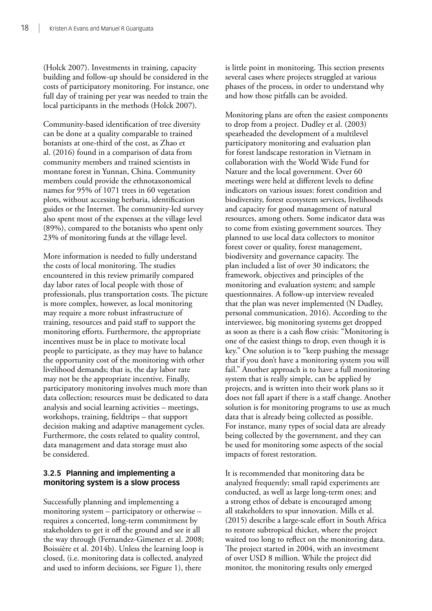(Holck 2007). Investments in training, capacity building and follow-up should be considered in the costs of participatory monitoring. For instance, one full day of training per year was needed to train the local participants in the methods (Holck 2007).

Community-based identification of tree diversity can be done at a quality comparable to trained botanists at one-third of the cost, as Zhao et al. (2016) found in a comparison of data from community members and trained scientists in montane forest in Yunnan, China. Community members could provide the ethnotaxonomical names for 95% of 1071 trees in 60 vegetation plots, without accessing herbaria, identification guides or the Internet. The community-led survey also spent most of the expenses at the village level (89%), compared to the botanists who spent only 23% of monitoring funds at the village level.

More information is needed to fully understand the costs of local monitoring. The studies encountered in this review primarily compared day labor rates of local people with those of professionals, plus transportation costs. The picture is more complex, however, as local monitoring may require a more robust infrastructure of training, resources and paid staff to support the monitoring efforts. Furthermore, the appropriate incentives must be in place to motivate local people to participate, as they may have to balance the opportunity cost of the monitoring with other livelihood demands; that is, the day labor rate may not be the appropriate incentive. Finally, participatory monitoring involves much more than data collection; resources must be dedicated to data analysis and social learning activities – meetings, workshops, training, fieldtrips – that support decision making and adaptive management cycles. Furthermore, the costs related to quality control, data management and data storage must also be considered.

#### **3.2.5 Planning and implementing a monitoring system is a slow process**

Successfully planning and implementing a monitoring system – participatory or otherwise – requires a concerted, long-term commitment by stakeholders to get it off the ground and see it all the way through (Fernandez-Gimenez et al. 2008; Boissière et al. 2014b). Unless the learning loop is closed, (i.e. monitoring data is collected, analyzed and used to inform decisions, see Figure 1), there

is little point in monitoring. This section presents several cases where projects struggled at various phases of the process, in order to understand why and how those pitfalls can be avoided.

Monitoring plans are often the easiest components to drop from a project. Dudley et al. (2003) spearheaded the development of a multilevel participatory monitoring and evaluation plan for forest landscape restoration in Vietnam in collaboration with the World Wide Fund for Nature and the local government. Over 60 meetings were held at different levels to define indicators on various issues: forest condition and biodiversity, forest ecosystem services, livelihoods and capacity for good management of natural resources, among others. Some indicator data was to come from existing government sources. They planned to use local data collectors to monitor forest cover or quality, forest management, biodiversity and governance capacity. The plan included a list of over 30 indicators; the framework, objectives and principles of the monitoring and evaluation system; and sample questionnaires. A follow-up interview revealed that the plan was never implemented (N Dudley, personal communication, 2016). According to the interviewee, big monitoring systems get dropped as soon as there is a cash flow crisis: "Monitoring is one of the easiest things to drop, even though it is key." One solution is to "keep pushing the message that if you don't have a monitoring system you will fail." Another approach is to have a full monitoring system that is really simple, can be applied by projects, and is written into their work plans so it does not fall apart if there is a staff change. Another solution is for monitoring programs to use as much data that is already being collected as possible. For instance, many types of social data are already being collected by the government, and they can be used for monitoring some aspects of the social impacts of forest restoration.

It is recommended that monitoring data be analyzed frequently; small rapid experiments are conducted, as well as large long-term ones; and a strong ethos of debate is encouraged among all stakeholders to spur innovation. Mills et al. (2015) describe a large-scale effort in South Africa to restore subtropical thicket, where the project waited too long to reflect on the monitoring data. The project started in 2004, with an investment of over USD 8 million. While the project did monitor, the monitoring results only emerged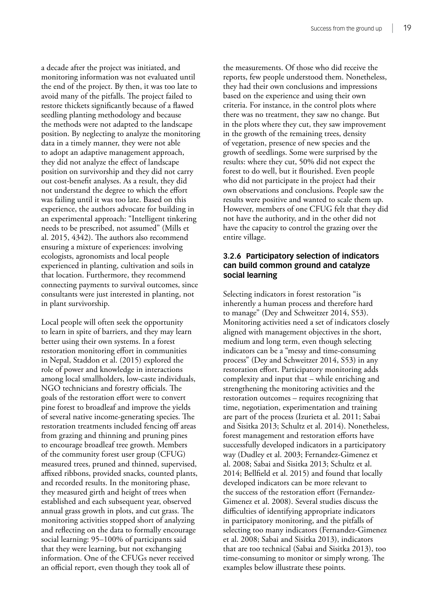a decade after the project was initiated, and monitoring information was not evaluated until the end of the project. By then, it was too late to avoid many of the pitfalls. The project failed to restore thickets significantly because of a flawed seedling planting methodology and because the methods were not adapted to the landscape position. By neglecting to analyze the monitoring data in a timely manner, they were not able to adopt an adaptive management approach, they did not analyze the effect of landscape position on survivorship and they did not carry out cost-benefit analyses. As a result, they did not understand the degree to which the effort was failing until it was too late. Based on this experience, the authors advocate for building in an experimental approach: "Intelligent tinkering needs to be prescribed, not assumed" (Mills et al. 2015, 4342). The authors also recommend ensuring a mixture of experiences: involving ecologists, agronomists and local people experienced in planting, cultivation and soils in that location. Furthermore, they recommend connecting payments to survival outcomes, since consultants were just interested in planting, not in plant survivorship.

Local people will often seek the opportunity to learn in spite of barriers, and they may learn better using their own systems. In a forest restoration monitoring effort in communities in Nepal, Staddon et al. (2015) explored the role of power and knowledge in interactions among local smallholders, low-caste individuals, NGO technicians and forestry officials. The goals of the restoration effort were to convert pine forest to broadleaf and improve the yields of several native income-generating species. The restoration treatments included fencing off areas from grazing and thinning and pruning pines to encourage broadleaf tree growth. Members of the community forest user group (CFUG) measured trees, pruned and thinned, supervised, affixed ribbons, provided snacks, counted plants, and recorded results. In the monitoring phase, they measured girth and height of trees when established and each subsequent year, observed annual grass growth in plots, and cut grass. The monitoring activities stopped short of analyzing and reflecting on the data to formally encourage social learning: 95–100% of participants said that they were learning, but not exchanging information. One of the CFUGs never received an official report, even though they took all of

the measurements. Of those who did receive the reports, few people understood them. Nonetheless, they had their own conclusions and impressions based on the experience and using their own criteria. For instance, in the control plots where there was no treatment, they saw no change. But in the plots where they cut, they saw improvement in the growth of the remaining trees, density of vegetation, presence of new species and the growth of seedlings. Some were surprised by the results: where they cut, 50% did not expect the forest to do well, but it flourished. Even people who did not participate in the project had their own observations and conclusions. People saw the results were positive and wanted to scale them up. However, members of one CFUG felt that they did not have the authority, and in the other did not have the capacity to control the grazing over the entire village.

#### **3.2.6 Participatory selection of indicators can build common ground and catalyze social learning**

Selecting indicators in forest restoration "is inherently a human process and therefore hard to manage" (Dey and Schweitzer 2014, S53). Monitoring activities need a set of indicators closely aligned with management objectives in the short, medium and long term, even though selecting indicators can be a "messy and time-consuming process" (Dey and Schweitzer 2014, S53) in any restoration effort. Participatory monitoring adds complexity and input that – while enriching and strengthening the monitoring activities and the restoration outcomes – requires recognizing that time, negotiation, experimentation and training are part of the process (Izurieta et al. 2011; Sabai and Sisitka 2013; Schultz et al. 2014). Nonetheless, forest management and restoration efforts have successfully developed indicators in a participatory way (Dudley et al. 2003; Fernandez-Gimenez et al. 2008; Sabai and Sisitka 2013; Schultz et al. 2014; Bellfield et al. 2015) and found that locally developed indicators can be more relevant to the success of the restoration effort (Fernandez-Gimenez et al. 2008). Several studies discuss the difficulties of identifying appropriate indicators in participatory monitoring, and the pitfalls of selecting too many indicators (Fernandez-Gimenez et al. 2008; Sabai and Sisitka 2013), indicators that are too technical (Sabai and Sisitka 2013), too time-consuming to monitor or simply wrong. The examples below illustrate these points.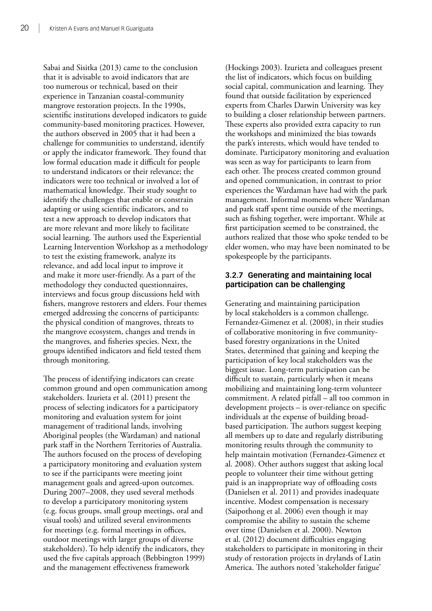Sabai and Sisitka (2013) came to the conclusion that it is advisable to avoid indicators that are too numerous or technical, based on their experience in Tanzanian coastal-community mangrove restoration projects. In the 1990s, scientific institutions developed indicators to guide community-based monitoring practices. However, the authors observed in 2005 that it had been a challenge for communities to understand, identify or apply the indicator framework. They found that low formal education made it difficult for people to understand indicators or their relevance; the indicators were too technical or involved a lot of mathematical knowledge. Their study sought to identify the challenges that enable or constrain adapting or using scientific indicators, and to test a new approach to develop indicators that are more relevant and more likely to facilitate social learning. The authors used the Experiential Learning Intervention Workshop as a methodology to test the existing framework, analyze its relevance, and add local input to improve it and make it more user-friendly. As a part of the methodology they conducted questionnaires, interviews and focus group discussions held with fishers, mangrove restorers and elders. Four themes emerged addressing the concerns of participants: the physical condition of mangroves, threats to the mangrove ecosystem, changes and trends in the mangroves, and fisheries species. Next, the groups identified indicators and field tested them through monitoring.

The process of identifying indicators can create common ground and open communication among stakeholders. Izurieta et al. (2011) present the process of selecting indicators for a participatory monitoring and evaluation system for joint management of traditional lands, involving Aboriginal peoples (the Wardaman) and national park staff in the Northern Territories of Australia. The authors focused on the process of developing a participatory monitoring and evaluation system to see if the participants were meeting joint management goals and agreed-upon outcomes. During 2007–2008, they used several methods to develop a participatory monitoring system (e.g. focus groups, small group meetings, oral and visual tools) and utilized several environments for meetings (e.g. formal meetings in offices, outdoor meetings with larger groups of diverse stakeholders). To help identify the indicators, they used the five capitals approach (Bebbington 1999) and the management effectiveness framework

(Hockings 2003). Izurieta and colleagues present the list of indicators, which focus on building social capital, communication and learning. They found that outside facilitation by experienced experts from Charles Darwin University was key to building a closer relationship between partners. These experts also provided extra capacity to run the workshops and minimized the bias towards the park's interests, which would have tended to dominate. Participatory monitoring and evaluation was seen as way for participants to learn from each other. The process created common ground and opened communication, in contrast to prior experiences the Wardaman have had with the park management. Informal moments where Wardaman and park staff spent time outside of the meetings, such as fishing together, were important. While at first participation seemed to be constrained, the authors realized that those who spoke tended to be elder women, who may have been nominated to be spokespeople by the participants.

#### **3.2.7 Generating and maintaining local participation can be challenging**

Generating and maintaining participation by local stakeholders is a common challenge. Fernandez-Gimenez et al. (2008), in their studies of collaborative monitoring in five communitybased forestry organizations in the United States, determined that gaining and keeping the participation of key local stakeholders was the biggest issue. Long-term participation can be difficult to sustain, particularly when it means mobilizing and maintaining long-term volunteer commitment. A related pitfall – all too common in development projects – is over-reliance on specific individuals at the expense of building broadbased participation. The authors suggest keeping all members up to date and regularly distributing monitoring results through the community to help maintain motivation (Fernandez-Gimenez et al. 2008). Other authors suggest that asking local people to volunteer their time without getting paid is an inappropriate way of offloading costs (Danielsen et al. 2011) and provides inadequate incentive. Modest compensation is necessary (Saipothong et al. 2006) even though it may compromise the ability to sustain the scheme over time (Danielsen et al. 2000). Newton et al. (2012) document difficulties engaging stakeholders to participate in monitoring in their study of restoration projects in drylands of Latin America. The authors noted 'stakeholder fatigue'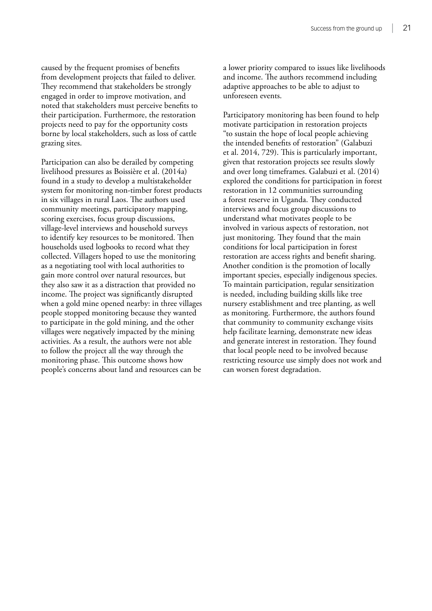caused by the frequent promises of benefits from development projects that failed to deliver. They recommend that stakeholders be strongly engaged in order to improve motivation, and noted that stakeholders must perceive benefits to their participation. Furthermore, the restoration projects need to pay for the opportunity costs borne by local stakeholders, such as loss of cattle grazing sites.

Participation can also be derailed by competing livelihood pressures as Boissière et al. (2014a) found in a study to develop a multistakeholder system for monitoring non-timber forest products in six villages in rural Laos. The authors used community meetings, participatory mapping, scoring exercises, focus group discussions, village-level interviews and household surveys to identify key resources to be monitored. Then households used logbooks to record what they collected. Villagers hoped to use the monitoring as a negotiating tool with local authorities to gain more control over natural resources, but they also saw it as a distraction that provided no income. The project was significantly disrupted when a gold mine opened nearby: in three villages people stopped monitoring because they wanted to participate in the gold mining, and the other villages were negatively impacted by the mining activities. As a result, the authors were not able to follow the project all the way through the monitoring phase. This outcome shows how people's concerns about land and resources can be

a lower priority compared to issues like livelihoods and income. The authors recommend including adaptive approaches to be able to adjust to unforeseen events.

Participatory monitoring has been found to help motivate participation in restoration projects "to sustain the hope of local people achieving the intended benefits of restoration" (Galabuzi et al. 2014, 729). This is particularly important, given that restoration projects see results slowly and over long timeframes. Galabuzi et al. (2014) explored the conditions for participation in forest restoration in 12 communities surrounding a forest reserve in Uganda. They conducted interviews and focus group discussions to understand what motivates people to be involved in various aspects of restoration, not just monitoring. They found that the main conditions for local participation in forest restoration are access rights and benefit sharing. Another condition is the promotion of locally important species, especially indigenous species. To maintain participation, regular sensitization is needed, including building skills like tree nursery establishment and tree planting, as well as monitoring. Furthermore, the authors found that community to community exchange visits help facilitate learning, demonstrate new ideas and generate interest in restoration. They found that local people need to be involved because restricting resource use simply does not work and can worsen forest degradation.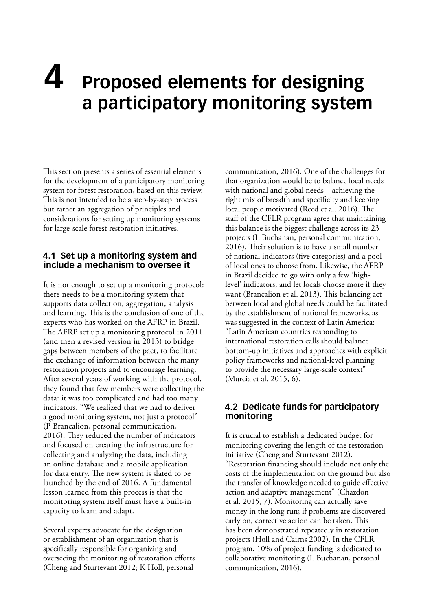# <span id="page-31-0"></span>**4 Proposed elements for designing a participatory monitoring system**

This section presents a series of essential elements for the development of a participatory monitoring system for forest restoration, based on this review. This is not intended to be a step-by-step process but rather an aggregation of principles and considerations for setting up monitoring systems for large-scale forest restoration initiatives.

#### **4.1 Set up a monitoring system and include a mechanism to oversee it**

It is not enough to set up a monitoring protocol: there needs to be a monitoring system that supports data collection, aggregation, analysis and learning. This is the conclusion of one of the experts who has worked on the AFRP in Brazil. The AFRP set up a monitoring protocol in 2011 (and then a revised version in 2013) to bridge gaps between members of the pact, to facilitate the exchange of information between the many restoration projects and to encourage learning. After several years of working with the protocol, they found that few members were collecting the data: it was too complicated and had too many indicators. "We realized that we had to deliver a good monitoring system, not just a protocol" (P Brancalion, personal communication, 2016). They reduced the number of indicators and focused on creating the infrastructure for collecting and analyzing the data, including an online database and a mobile application for data entry. The new system is slated to be launched by the end of 2016. A fundamental lesson learned from this process is that the monitoring system itself must have a built-in capacity to learn and adapt.

Several experts advocate for the designation or establishment of an organization that is specifically responsible for organizing and overseeing the monitoring of restoration efforts (Cheng and Sturtevant 2012; K Holl, personal

communication, 2016). One of the challenges for that organization would be to balance local needs with national and global needs – achieving the right mix of breadth and specificity and keeping local people motivated (Reed et al. 2016). The staff of the CFLR program agree that maintaining this balance is the biggest challenge across its 23 projects (L Buchanan, personal communication, 2016). Their solution is to have a small number of national indicators (five categories) and a pool of local ones to choose from. Likewise, the AFRP in Brazil decided to go with only a few 'highlevel' indicators, and let locals choose more if they want (Brancalion et al. 2013). This balancing act between local and global needs could be facilitated by the establishment of national frameworks, as was suggested in the context of Latin America: "Latin American countries responding to international restoration calls should balance bottom-up initiatives and approaches with explicit policy frameworks and national-level planning to provide the necessary large-scale context" (Murcia et al. 2015, 6).

#### **4.2 Dedicate funds for participatory monitoring**

It is crucial to establish a dedicated budget for monitoring covering the length of the restoration initiative (Cheng and Sturtevant 2012). "Restoration financing should include not only the costs of the implementation on the ground but also the transfer of knowledge needed to guide effective action and adaptive management" (Chazdon et al. 2015, 7). Monitoring can actually save money in the long run; if problems are discovered early on, corrective action can be taken. This has been demonstrated repeatedly in restoration projects (Holl and Cairns 2002). In the CFLR program, 10% of project funding is dedicated to collaborative monitoring (L Buchanan, personal communication, 2016).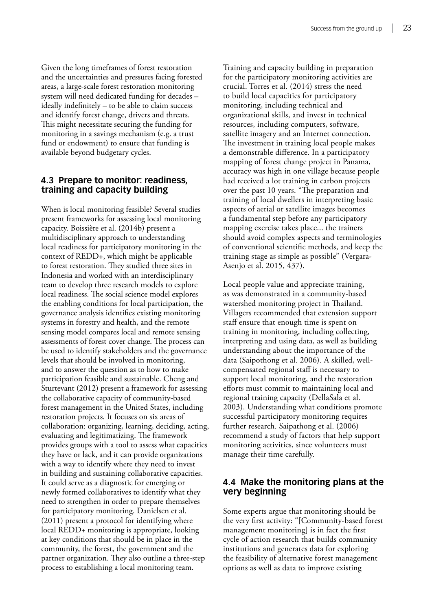<span id="page-32-0"></span>Given the long timeframes of forest restoration and the uncertainties and pressures facing forested areas, a large-scale forest restoration monitoring system will need dedicated funding for decades – ideally indefinitely – to be able to claim success and identify forest change, drivers and threats. This might necessitate securing the funding for monitoring in a savings mechanism (e.g. a trust fund or endowment) to ensure that funding is available beyond budgetary cycles.

#### **4.3 Prepare to monitor: readiness, training and capacity building**

When is local monitoring feasible? Several studies present frameworks for assessing local monitoring capacity. Boissière et al. (2014b) present a multidisciplinary approach to understanding local readiness for participatory monitoring in the context of REDD+, which might be applicable to forest restoration. They studied three sites in Indonesia and worked with an interdisciplinary team to develop three research models to explore local readiness. The social science model explores the enabling conditions for local participation, the governance analysis identifies existing monitoring systems in forestry and health, and the remote sensing model compares local and remote sensing assessments of forest cover change. The process can be used to identify stakeholders and the governance levels that should be involved in monitoring, and to answer the question as to how to make participation feasible and sustainable. Cheng and Sturtevant (2012) present a framework for assessing the collaborative capacity of community-based forest management in the United States, including restoration projects. It focuses on six areas of collaboration: organizing, learning, deciding, acting, evaluating and legitimatizing. The framework provides groups with a tool to assess what capacities they have or lack, and it can provide organizations with a way to identify where they need to invest in building and sustaining collaborative capacities. It could serve as a diagnostic for emerging or newly formed collaboratives to identify what they need to strengthen in order to prepare themselves for participatory monitoring. Danielsen et al. (2011) present a protocol for identifying where local REDD+ monitoring is appropriate, looking at key conditions that should be in place in the community, the forest, the government and the partner organization. They also outline a three-step process to establishing a local monitoring team.

Training and capacity building in preparation for the participatory monitoring activities are crucial. Torres et al. (2014) stress the need to build local capacities for participatory monitoring, including technical and organizational skills, and invest in technical resources, including computers, software, satellite imagery and an Internet connection. The investment in training local people makes a demonstrable difference. In a participatory mapping of forest change project in Panama, accuracy was high in one village because people had received a lot training in carbon projects over the past 10 years. "The preparation and training of local dwellers in interpreting basic aspects of aerial or satellite images becomes a fundamental step before any participatory mapping exercise takes place... the trainers should avoid complex aspects and terminologies of conventional scientific methods, and keep the training stage as simple as possible" (Vergara-Asenjo et al. 2015, 437).

Local people value and appreciate training, as was demonstrated in a community-based watershed monitoring project in Thailand. Villagers recommended that extension support staff ensure that enough time is spent on training in monitoring, including collecting, interpreting and using data, as well as building understanding about the importance of the data (Saipothong et al. 2006). A skilled, wellcompensated regional staff is necessary to support local monitoring, and the restoration efforts must commit to maintaining local and regional training capacity (DellaSala et al. 2003). Understanding what conditions promote successful participatory monitoring requires further research. Saipathong et al. (2006) recommend a study of factors that help support monitoring activities, since volunteers must manage their time carefully.

#### **4.4 Make the monitoring plans at the very beginning**

Some experts argue that monitoring should be the very first activity: "[Community-based forest management monitoring] is in fact the first cycle of action research that builds community institutions and generates data for exploring the feasibility of alternative forest management options as well as data to improve existing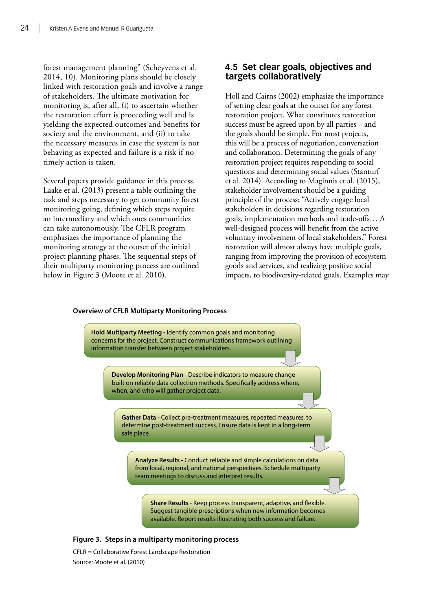<span id="page-33-0"></span>forest management planning" (Scheyvens et al. 2014, 10). Monitoring plans should be closely linked with restoration goals and involve a range of stakeholders. The ultimate motivation for monitoring is, after all, (i) to ascertain whether the restoration effort is proceeding well and is yielding the expected outcomes and benefits for society and the environment, and (ii) to take the necessary measures in case the system is not behaving as expected and failure is a risk if no timely action is taken.

Several papers provide guidance in this process. Laake et al. (2013) present a table outlining the task and steps necessary to get community forest monitoring going, defining which steps require an intermediary and which ones communities can take autonomously. The CFLR program emphasizes the importance of planning the monitoring strategy at the outset of the initial project planning phases. The sequential steps of their multiparty monitoring process are outlined below in Figure 3 (Moote et al. 2010).

#### **4.5 Set clear goals, objectives and targets collaboratively**

Holl and Cairns (2002) emphasize the importance of setting clear goals at the outset for any forest restoration project. What constitutes restoration success must be agreed upon by all parties – and the goals should be simple. For most projects, this will be a process of negotiation, conversation and collaboration. Determining the goals of any restoration project requires responding to social questions and determining social values (Stanturf et al. 2014). According to Maginnis et al. (2015), stakeholder involvement should be a guiding principle of the process: "Actively engage local stakeholders in decisions regarding restoration goals, implementation methods and trade-offs… A well-designed process will benefit from the active voluntary involvement of local stakeholders." Forest restoration will almost always have multiple goals, ranging from improving the provision of ecosystem goods and services, and realizing positive social impacts, to biodiversity-related goals. Examples may

### **Hold Multiparty Meeting** - Identify common goals and monitoring concerns for the project. Construct communications framework outlining information transfer between project stakeholders. **Develop Monitoring Plan** - Describe indicators to measure change

**Overview of CFLR Multiparty Monitoring Process**

built on reliable data collection methods. Specifically address where, when, and who will gather project data.

**Gather Data** - Collect pre-treatment measures, repeated measures, to determine post-treatment success. Ensure data is kept in a long-term safe place.

**Analyze Results** - Conduct reliable and simple calculations on data from local, regional, and national perspectives. Schedule multiparty team meetings to discuss and interpret results.

**Share Results** - Keep process transparent, adaptive, and flexible. Suggest tangible prescriptions when new information becomes available. Report results illustrating both success and failure.

#### **Figure 3. Steps in a multiparty monitoring process**

CFLR = Collaborative Forest Landscape Restoration Source: Moote et al. (2010)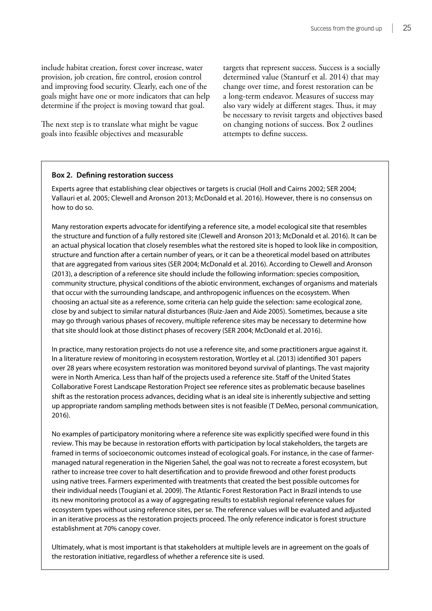<span id="page-34-0"></span>include habitat creation, forest cover increase, water provision, job creation, fire control, erosion control and improving food security. Clearly, each one of the goals might have one or more indicators that can help determine if the project is moving toward that goal.

The next step is to translate what might be vague goals into feasible objectives and measurable

targets that represent success. Success is a socially determined value (Stanturf et al. 2014) that may change over time, and forest restoration can be a long-term endeavor. Measures of success may also vary widely at different stages. Thus, it may be necessary to revisit targets and objectives based on changing notions of success. Box 2 outlines attempts to define success.

#### **Box 2. Defining restoration success**

Experts agree that establishing clear objectives or targets is crucial (Holl and Cairns 2002; SER 2004; Vallauri et al. 2005; Clewell and Aronson 2013; McDonald et al. 2016). However, there is no consensus on how to do so.

Many restoration experts advocate for identifying a reference site, a model ecological site that resembles the structure and function of a fully restored site (Clewell and Aronson 2013; McDonald et al. 2016). It can be an actual physical location that closely resembles what the restored site is hoped to look like in composition, structure and function after a certain number of years, or it can be a theoretical model based on attributes that are aggregated from various sites (SER 2004; McDonald et al. 2016). According to Clewell and Aronson (2013), a description of a reference site should include the following information: species composition, community structure, physical conditions of the abiotic environment, exchanges of organisms and materials that occur with the surrounding landscape, and anthropogenic influences on the ecosystem. When choosing an actual site as a reference, some criteria can help guide the selection: same ecological zone, close by and subject to similar natural disturbances (Ruiz-Jaen and Aide 2005). Sometimes, because a site may go through various phases of recovery, multiple reference sites may be necessary to determine how that site should look at those distinct phases of recovery (SER 2004; McDonald et al. 2016).

In practice, many restoration projects do not use a reference site, and some practitioners argue against it. In a literature review of monitoring in ecosystem restoration, Wortley et al. (2013) identified 301 papers over 28 years where ecosystem restoration was monitored beyond survival of plantings. The vast majority were in North America. Less than half of the projects used a reference site. Staff of the United States Collaborative Forest Landscape Restoration Project see reference sites as problematic because baselines shift as the restoration process advances, deciding what is an ideal site is inherently subjective and setting up appropriate random sampling methods between sites is not feasible (T DeMeo, personal communication, 2016).

No examples of participatory monitoring where a reference site was explicitly specified were found in this review. This may be because in restoration efforts with participation by local stakeholders, the targets are framed in terms of socioeconomic outcomes instead of ecological goals. For instance, in the case of farmermanaged natural regeneration in the Nigerien Sahel, the goal was not to recreate a forest ecosystem, but rather to increase tree cover to halt desertification and to provide firewood and other forest products using native trees. Farmers experimented with treatments that created the best possible outcomes for their individual needs (Tougiani et al. 2009). The Atlantic Forest Restoration Pact in Brazil intends to use its new monitoring protocol as a way of aggregating results to establish regional reference values for ecosystem types without using reference sites, per se. The reference values will be evaluated and adjusted in an iterative process as the restoration projects proceed. The only reference indicator is forest structure establishment at 70% canopy cover.

Ultimately, what is most important is that stakeholders at multiple levels are in agreement on the goals of the restoration initiative, regardless of whether a reference site is used.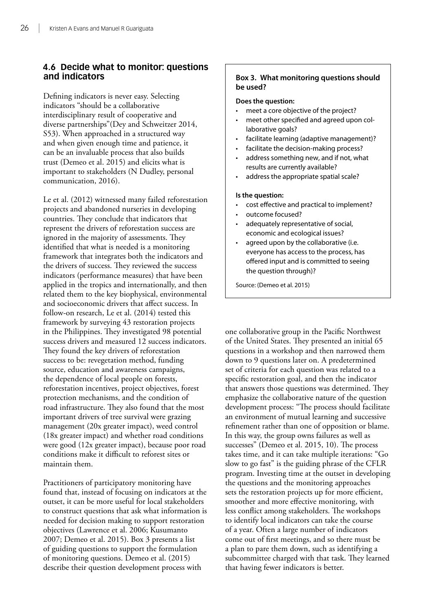#### <span id="page-35-0"></span>**4.6 Decide what to monitor: questions and indicators**

Defining indicators is never easy. Selecting indicators "should be a collaborative interdisciplinary result of cooperative and diverse partnerships"(Dey and Schweitzer 2014, S53). When approached in a structured way and when given enough time and patience, it can be an invaluable process that also builds trust (Demeo et al. 2015) and elicits what is important to stakeholders (N Dudley, personal communication, 2016).

Le et al. (2012) witnessed many failed reforestation projects and abandoned nurseries in developing countries. They conclude that indicators that represent the drivers of reforestation success are ignored in the majority of assessments. They identified that what is needed is a monitoring framework that integrates both the indicators and the drivers of success. They reviewed the success indicators (performance measures) that have been applied in the tropics and internationally, and then related them to the key biophysical, environmental and socioeconomic drivers that affect success. In follow-on research, Le et al. (2014) tested this framework by surveying 43 restoration projects in the Philippines. They investigated 98 potential success drivers and measured 12 success indicators. They found the key drivers of reforestation success to be: revegetation method, funding source, education and awareness campaigns, the dependence of local people on forests, reforestation incentives, project objectives, forest protection mechanisms, and the condition of road infrastructure. They also found that the most important drivers of tree survival were grazing management (20x greater impact), weed control (18x greater impact) and whether road conditions were good (12x greater impact), because poor road conditions make it difficult to reforest sites or maintain them.

Practitioners of participatory monitoring have found that, instead of focusing on indicators at the outset, it can be more useful for local stakeholders to construct questions that ask what information is needed for decision making to support restoration objectives (Lawrence et al. 2006; Kusumanto 2007; Demeo et al. 2015). Box 3 presents a list of guiding questions to support the formulation of monitoring questions. Demeo et al. (2015) describe their question development process with

#### **Box 3. What monitoring questions should be used?**

#### **Does the question:**

- meet a core objective of the project?
- meet other specified and agreed upon collaborative goals?
- facilitate learning (adaptive management)?
- facilitate the decision-making process?
- address something new, and if not, what results are currently available?
- address the appropriate spatial scale?

#### **Is the question:**

- cost effective and practical to implement?
- outcome focused?
- adequately representative of social, economic and ecological issues?
- agreed upon by the collaborative (i.e. everyone has access to the process, has offered input and is committed to seeing the question through)?

Source: (Demeo et al. 2015)

one collaborative group in the Pacific Northwest of the United States. They presented an initial 65 questions in a workshop and then narrowed them down to 9 questions later on. A predetermined set of criteria for each question was related to a specific restoration goal, and then the indicator that answers those questions was determined. They emphasize the collaborative nature of the question development process: "The process should facilitate an environment of mutual learning and successive refinement rather than one of opposition or blame. In this way, the group owns failures as well as successes" (Demeo et al. 2015, 10). The process takes time, and it can take multiple iterations: "Go slow to go fast" is the guiding phrase of the CFLR program. Investing time at the outset in developing the questions and the monitoring approaches sets the restoration projects up for more efficient, smoother and more effective monitoring, with less conflict among stakeholders. The workshops to identify local indicators can take the course of a year. Often a large number of indicators come out of first meetings, and so there must be a plan to pare them down, such as identifying a subcommittee charged with that task. They learned that having fewer indicators is better.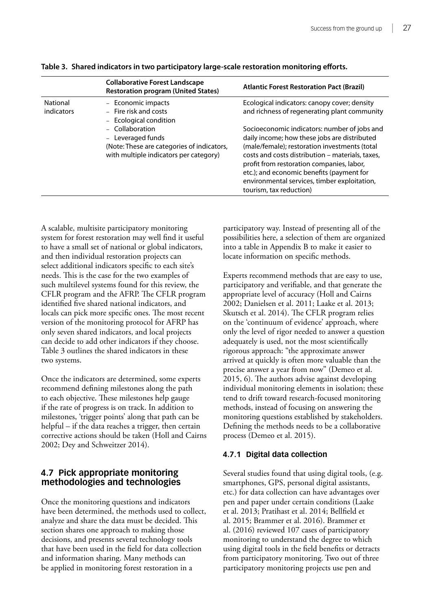|                        | <b>Collaborative Forest Landscape</b><br><b>Restoration program (United States)</b>                                          | <b>Atlantic Forest Restoration Pact (Brazil)</b>                                                                                                                                                                                                                                                                                                                       |
|------------------------|------------------------------------------------------------------------------------------------------------------------------|------------------------------------------------------------------------------------------------------------------------------------------------------------------------------------------------------------------------------------------------------------------------------------------------------------------------------------------------------------------------|
| National<br>indicators | - Economic impacts<br>- Fire risk and costs<br>- Ecological condition                                                        | Ecological indicators: canopy cover; density<br>and richness of regenerating plant community                                                                                                                                                                                                                                                                           |
|                        | - Collaboration<br>- Leveraged funds<br>(Note: These are categories of indicators,<br>with multiple indicators per category) | Socioeconomic indicators: number of jobs and<br>daily income; how these jobs are distributed<br>(male/female); restoration investments (total<br>costs and costs distribution – materials, taxes,<br>profit from restoration companies, labor,<br>etc.); and economic benefits (payment for<br>environmental services, timber exploitation,<br>tourism, tax reduction) |

<span id="page-36-0"></span>**Table 3. Shared indicators in two participatory large-scale restoration monitoring efforts.**

A scalable, multisite participatory monitoring system for forest restoration may well find it useful to have a small set of national or global indicators, and then individual restoration projects can select additional indicators specific to each site's needs. This is the case for the two examples of such multilevel systems found for this review, the CFLR program and the AFRP. The CFLR program identified five shared national indicators, and locals can pick more specific ones. The most recent version of the monitoring protocol for AFRP has only seven shared indicators, and local projects can decide to add other indicators if they choose. Table 3 outlines the shared indicators in these two systems.

Once the indicators are determined, some experts recommend defining milestones along the path to each objective. These milestones help gauge if the rate of progress is on track. In addition to milestones, 'trigger points' along that path can be helpful – if the data reaches a trigger, then certain corrective actions should be taken (Holl and Cairns 2002; Dey and Schweitzer 2014).

#### **4.7 Pick appropriate monitoring methodologies and technologies**

Once the monitoring questions and indicators have been determined, the methods used to collect, analyze and share the data must be decided. This section shares one approach to making those decisions, and presents several technology tools that have been used in the field for data collection and information sharing. Many methods can be applied in monitoring forest restoration in a

participatory way. Instead of presenting all of the possibilities here, a selection of them are organized into a table in Appendix B to make it easier to locate information on specific methods.

Experts recommend methods that are easy to use, participatory and verifiable, and that generate the appropriate level of accuracy (Holl and Cairns 2002; Danielsen et al. 2011; Laake et al. 2013; Skutsch et al. 2014). The CFLR program relies on the 'continuum of evidence' approach, where only the level of rigor needed to answer a question adequately is used, not the most scientifically rigorous approach: "the approximate answer arrived at quickly is often more valuable than the precise answer a year from now" (Demeo et al. 2015, 6). The authors advise against developing individual monitoring elements in isolation; these tend to drift toward research-focused monitoring methods, instead of focusing on answering the monitoring questions established by stakeholders. Defining the methods needs to be a collaborative process (Demeo et al. 2015).

#### **4.7.1 Digital data collection**

Several studies found that using digital tools, (e.g. smartphones, GPS, personal digital assistants, etc.) for data collection can have advantages over pen and paper under certain conditions (Laake et al. 2013; Pratihast et al. 2014; Bellfield et al. 2015; Brammer et al. 2016). Brammer et al. (2016) reviewed 107 cases of participatory monitoring to understand the degree to which using digital tools in the field benefits or detracts from participatory monitoring. Two out of three participatory monitoring projects use pen and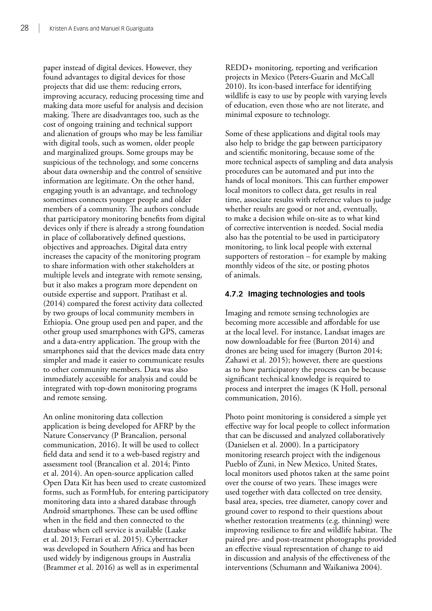paper instead of digital devices. However, they found advantages to digital devices for those projects that did use them: reducing errors, improving accuracy, reducing processing time and making data more useful for analysis and decision making. There are disadvantages too, such as the cost of ongoing training and technical support and alienation of groups who may be less familiar with digital tools, such as women, older people and marginalized groups. Some groups may be suspicious of the technology, and some concerns about data ownership and the control of sensitive information are legitimate. On the other hand, engaging youth is an advantage, and technology sometimes connects younger people and older members of a community. The authors conclude that participatory monitoring benefits from digital devices only if there is already a strong foundation in place of collaboratively defined questions, objectives and approaches. Digital data entry increases the capacity of the monitoring program to share information with other stakeholders at multiple levels and integrate with remote sensing, but it also makes a program more dependent on outside expertise and support. Pratihast et al. (2014) compared the forest activity data collected by two groups of local community members in Ethiopia. One group used pen and paper, and the other group used smartphones with GPS, cameras and a data-entry application. The group with the smartphones said that the devices made data entry simpler and made it easier to communicate results to other community members. Data was also immediately accessible for analysis and could be integrated with top-down monitoring programs and remote sensing.

An online monitoring data collection application is being developed for AFRP by the Nature Conservancy (P Brancalion, personal communication, 2016). It will be used to collect field data and send it to a web-based registry and assessment tool (Brancalion et al. 2014; Pinto et al. 2014). An open-source application called Open Data Kit has been used to create customized forms, such as FormHub, for entering participatory monitoring data into a shared database through Android smartphones. These can be used offline when in the field and then connected to the database when cell service is available (Laake et al. 2013; Ferrari et al. 2015). Cybertracker was developed in Southern Africa and has been used widely by indigenous groups in Australia (Brammer et al. 2016) as well as in experimental

REDD+ monitoring, reporting and verification projects in Mexico (Peters-Guarin and McCall 2010). Its icon-based interface for identifying wildlife is easy to use by people with varying levels of education, even those who are not literate, and minimal exposure to technology.

Some of these applications and digital tools may also help to bridge the gap between participatory and scientific monitoring, because some of the more technical aspects of sampling and data analysis procedures can be automated and put into the hands of local monitors. This can further empower local monitors to collect data, get results in real time, associate results with reference values to judge whether results are good or not and, eventually, to make a decision while on-site as to what kind of corrective intervention is needed. Social media also has the potential to be used in participatory monitoring, to link local people with external supporters of restoration – for example by making monthly videos of the site, or posting photos of animals.

#### **4.7.2 Imaging technologies and tools**

Imaging and remote sensing technologies are becoming more accessible and affordable for use at the local level. For instance, Landsat images are now downloadable for free (Burton 2014) and drones are being used for imagery (Burton 2014; Zahawi et al. 2015); however, there are questions as to how participatory the process can be because significant technical knowledge is required to process and interpret the images (K Holl, personal communication, 2016).

Photo point monitoring is considered a simple yet effective way for local people to collect information that can be discussed and analyzed collaboratively (Danielsen et al. 2000). In a participatory monitoring research project with the indigenous Pueblo of Zuni, in New Mexico, United States, local monitors used photos taken at the same point over the course of two years. These images were used together with data collected on tree density, basal area, species, tree diameter, canopy cover and ground cover to respond to their questions about whether restoration treatments (e.g. thinning) were improving resilience to fire and wildlife habitat. The paired pre- and post-treatment photographs provided an effective visual representation of change to aid in discussion and analysis of the effectiveness of the interventions (Schumann and Waikaniwa 2004).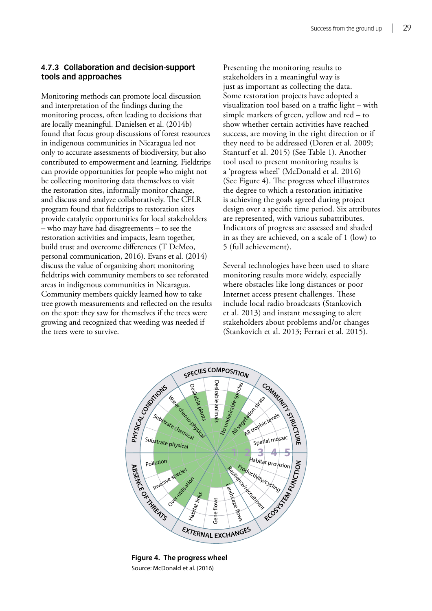#### <span id="page-38-0"></span>**4.7.3 Collaboration and decision-support tools and approaches**

Monitoring methods can promote local discussion and interpretation of the findings during the monitoring process, often leading to decisions that are locally meaningful. Danielsen et al. (2014b) found that focus group discussions of forest resources in indigenous communities in Nicaragua led not only to accurate assessments of biodiversity, but also contributed to empowerment and learning. Fieldtrips can provide opportunities for people who might not be collecting monitoring data themselves to visit the restoration sites, informally monitor change, and discuss and analyze collaboratively. The CFLR program found that fieldtrips to restoration sites provide catalytic opportunities for local stakeholders – who may have had disagreements – to see the restoration activities and impacts, learn together, build trust and overcome differences (T DeMeo, personal communication, 2016). Evans et al. (2014) discuss the value of organizing short monitoring fieldtrips with community members to see reforested areas in indigenous communities in Nicaragua. Community members quickly learned how to take tree growth measurements and reflected on the results on the spot: they saw for themselves if the trees were growing and recognized that weeding was needed if the trees were to survive.

Presenting the monitoring results to stakeholders in a meaningful way is just as important as collecting the data. Some restoration projects have adopted a visualization tool based on a traffic light – with simple markers of green, yellow and red – to show whether certain activities have reached success, are moving in the right direction or if they need to be addressed (Doren et al. 2009; Stanturf et al. 2015) (See Table 1). Another tool used to present monitoring results is a 'progress wheel' (McDonald et al. 2016) (See Figure 4). The progress wheel illustrates the degree to which a restoration initiative is achieving the goals agreed during project design over a specific time period. Six attributes are represented, with various subattributes. Indicators of progress are assessed and shaded in as they are achieved, on a scale of 1 (low) to 5 (full achievement).

Several technologies have been used to share monitoring results more widely, especially where obstacles like long distances or poor Internet access present challenges. These include local radio broadcasts (Stankovich et al. 2013) and instant messaging to alert stakeholders about problems and/or changes (Stankovich et al. 2013; Ferrari et al. 2015).



**Figure 4. The progress wheel** Source: McDonald et al. (2016)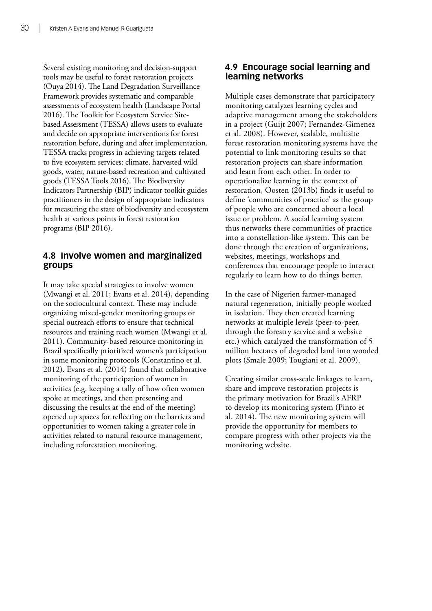<span id="page-39-0"></span>Several existing monitoring and decision-support tools may be useful to forest restoration projects (Ouya 2014). The Land Degradation Surveillance Framework provides systematic and comparable assessments of ecosystem health (Landscape Portal 2016). The Toolkit for Ecosystem Service Sitebased Assessment (TESSA) allows users to evaluate and decide on appropriate interventions for forest restoration before, during and after implementation. TESSA tracks progress in achieving targets related to five ecosystem services: climate, harvested wild goods, water, nature-based recreation and cultivated goods (TESSA Tools 2016). The Biodiversity Indicators Partnership (BIP) indicator toolkit guides practitioners in the design of appropriate indicators for measuring the state of biodiversity and ecosystem health at various points in forest restoration programs (BIP 2016).

#### **4.8 Involve women and marginalized groups**

It may take special strategies to involve women (Mwangi et al. 2011; Evans et al. 2014), depending on the sociocultural context. These may include organizing mixed-gender monitoring groups or special outreach efforts to ensure that technical resources and training reach women (Mwangi et al. 2011). Community-based resource monitoring in Brazil specifically prioritized women's participation in some monitoring protocols (Constantino et al. 2012). Evans et al. (2014) found that collaborative monitoring of the participation of women in activities (e.g. keeping a tally of how often women spoke at meetings, and then presenting and discussing the results at the end of the meeting) opened up spaces for reflecting on the barriers and opportunities to women taking a greater role in activities related to natural resource management, including reforestation monitoring.

#### **4.9 Encourage social learning and learning networks**

Multiple cases demonstrate that participatory monitoring catalyzes learning cycles and adaptive management among the stakeholders in a project (Guijt 2007; Fernandez-Gimenez et al. 2008). However, scalable, multisite forest restoration monitoring systems have the potential to link monitoring results so that restoration projects can share information and learn from each other. In order to operationalize learning in the context of restoration, Oosten (2013b) finds it useful to define 'communities of practice' as the group of people who are concerned about a local issue or problem. A social learning system thus networks these communities of practice into a constellation-like system. This can be done through the creation of organizations, websites, meetings, workshops and conferences that encourage people to interact regularly to learn how to do things better.

In the case of Nigerien farmer-managed natural regeneration, initially people worked in isolation. They then created learning networks at multiple levels (peer-to-peer, through the forestry service and a website etc.) which catalyzed the transformation of 5 million hectares of degraded land into wooded plots (Smale 2009; Tougiani et al. 2009).

Creating similar cross-scale linkages to learn, share and improve restoration projects is the primary motivation for Brazil's AFRP to develop its monitoring system (Pinto et al. 2014). The new monitoring system will provide the opportunity for members to compare progress with other projects via the monitoring website.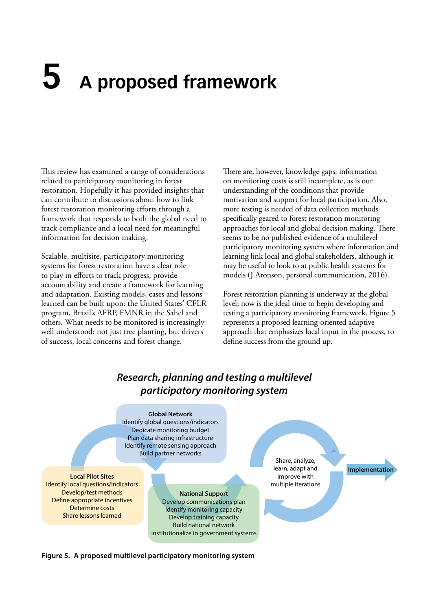# <span id="page-40-0"></span>**5 A proposed framework**

This review has examined a range of considerations related to participatory monitoring in forest restoration. Hopefully it has provided insights that can contribute to discussions about how to link forest restoration monitoring efforts through a framework that responds to both the global need to track compliance and a local need for meaningful information for decision making.

Scalable, multisite, participatory monitoring systems for forest restoration have a clear role to play in efforts to track progress, provide accountability and create a framework for learning and adaptation. Existing models, cases and lessons learned can be built upon: the United States' CFLR program, Brazil's AFRP, FMNR in the Sahel and others. What needs to be monitored is increasingly well understood: not just tree planting, but drivers of success, local concerns and forest change.

There are, however, knowledge gaps: information on monitoring costs is still incomplete, as is our understanding of the conditions that provide motivation and support for local participation. Also, more testing is needed of data collection methods specifically geared to forest restoration monitoring approaches for local and global decision making. There seems to be no published evidence of a multilevel participatory monitoring system where information and learning link local and global stakeholders, although it may be useful to look to at public health systems for models (J Aronson, personal communication, 2016).

Forest restoration planning is underway at the global level; now is the ideal time to begin developing and testing a participatory monitoring framework. Figure 5 represents a proposed learning-oriented adaptive approach that emphasizes local input in the process, to define success from the ground up.

#### *Research, planning and testing a multilevel participatory monitoring system* **Global Network** Identify global questions/indicators Dedicate monitoring budget Plan data sharing infrastructure Identify remote sensing approach Build partner networks **National Support** Develop communications plan Identify monitoring capacity Develop training capacity Build national network Institutionalize in government systems **Local Pilot Sites** Identify local questions/indicators Develop/test methods Define appropriate incentives Determine costs Share lessons learned Share, analyze, learn, adapt and improve with multiple iterations **Implementation**

**Figure 5. A proposed multilevel participatory monitoring system**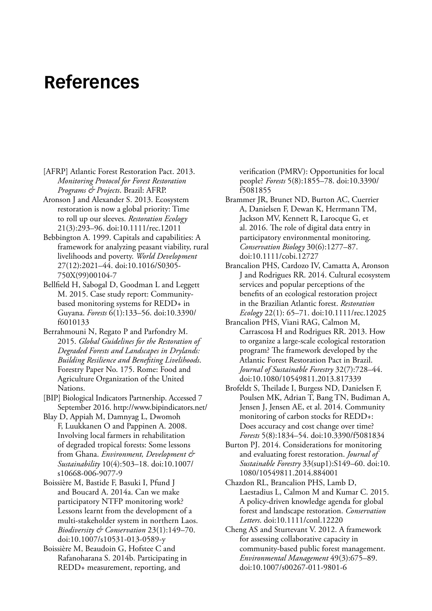## <span id="page-41-0"></span>**References**

- [AFRP] Atlantic Forest Restoration Pact. 2013. *Monitoring Protocol for Forest Restoration Programs & Projects*. Brazil: AFRP.
- Aronson J and Alexander S. 2013. Ecosystem restoration is now a global priority: Time to roll up our sleeves. *Restoration Ecology* 21(3):293–96. doi:10.1111/rec.12011
- Bebbington A. 1999. Capitals and capabilities: A framework for analyzing peasant viability, rural livelihoods and poverty. *World Development* 27(12):2021–44. doi:10.1016/S0305- 750X(99)00104-7
- Bellfield H, Sabogal D, Goodman L and Leggett M. 2015. Case study report: Communitybased monitoring systems for REDD+ in Guyana. *Forests* 6(1):133–56. doi:10.3390/ f6010133
- Berrahmouni N, Regato P and Parfondry M. 2015. *Global Guidelines for the Restoration of Degraded Forests and Landscapes in Drylands: Building Resilience and Benefiting Livelihoods*. Forestry Paper No. 175. Rome: Food and Agriculture Organization of the United Nations.
- [BIP] Biological Indicators Partnership. Accessed 7 September 2016. http://www.bipindicators.net/
- Blay D, Appiah M, Damnyag L, Dwomoh F, Luukkanen O and Pappinen A. 2008. Involving local farmers in rehabilitation of degraded tropical forests: Some lessons from Ghana. *Environment, Development & Sustainability* 10(4):503–18. doi:10.1007/ s10668-006-9077-9
- Boissière M, Bastide F, Basuki I, Pfund J and Boucard A. 2014a. Can we make participatory NTFP monitoring work? Lessons learnt from the development of a multi-stakeholder system in northern Laos. *Biodiversity & Conservation* 23(1):149–70. doi:10.1007/s10531-013-0589-y
- Boissière M, Beaudoin G, Hofstee C and Rafanoharana S. 2014b. Participating in REDD+ measurement, reporting, and

verification (PMRV): Opportunities for local people? *Forests* 5(8):1855–78. doi:10.3390/ f5081855

- Brammer JR, Brunet ND, Burton AC, Cuerrier A, Danielsen F, Dewan K, Herrmann TM, Jackson MV, Kennett R, Larocque G, et al. 2016. The role of digital data entry in participatory environmental monitoring. *Conservation Biology* 30(6):1277–87. doi:10.1111/cobi.12727
- Brancalion PHS, Cardozo IV, Camatta A, Aronson J and Rodrigues RR. 2014. Cultural ecosystem services and popular perceptions of the benefits of an ecological restoration project in the Brazilian Atlantic forest. *Restoration Ecology* 22(1): 65–71. doi:10.1111/rec.12025
- Brancalion PHS, Viani RAG, Calmon M, Carrascosa H and Rodrigues RR. 2013. How to organize a large-scale ecological restoration program? The framework developed by the Atlantic Forest Restoration Pact in Brazil. *Journal of Sustainable Forestry* 32(7):728–44. doi:10.1080/10549811.2013.817339
- Brofeldt S, Theilade I, Burgess ND, Danielsen F, Poulsen MK, Adrian T, Bang TN, Budiman A, Jensen J, Jensen AE, et al. 2014. Community monitoring of carbon stocks for REDD+: Does accuracy and cost change over time? *Forests* 5(8):1834–54. doi:10.3390/f5081834
- Burton PJ. 2014. Considerations for monitoring and evaluating forest restoration. *Journal of Sustainable Forestry* 33(sup1):S149–60. doi:10. 1080/10549811.2014.884001
- Chazdon RL, Brancalion PHS, Lamb D, Laestadius L, Calmon M and Kumar C. 2015. A policy-driven knowledge agenda for global forest and landscape restoration. *Conservation Letters*. doi:10.1111/conl.12220
- Cheng AS and Sturtevant V. 2012. A framework for assessing collaborative capacity in community-based public forest management. *Environmental Management* 49(3):675–89. doi:10.1007/s00267-011-9801-6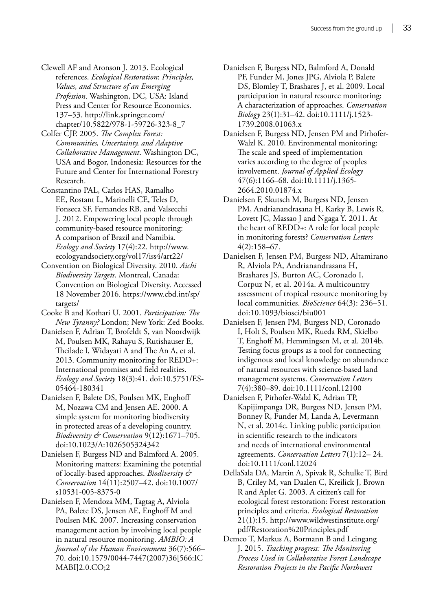- Clewell AF and Aronson J. 2013. Ecological references. *Ecological Restoration*: *Principles, Values, and Structure of an Emerging Profession*. Washington, DC, USA: Island Press and Center for Resource Economics. 137–53. http://link.springer.com/ chapter/10.5822/978-1-59726-323-8\_7
- Colfer CJP. 2005. *The Complex Forest: Communities, Uncertainty, and Adaptive Collaborative Management*. Washington DC, USA and Bogor, Indonesia: Resources for the Future and Center for International Forestry Research.
- Constantino PAL, Carlos HAS, Ramalho EE, Rostant L, Marinelli CE, Teles D, Fonseca SF, Fernandes RB, and Valsecchi J. 2012. Empowering local people through community-based resource monitoring: A comparison of Brazil and Namibia. *Ecology and Society* 17(4):22. http://www. ecologyandsociety.org/vol17/iss4/art22/
- Convention on Biological Diversity. 2010. *Aichi Biodiversity Targets*. Montreal, Canada: Convention on Biological Diversity. Accessed 18 November 2016. https://www.cbd.int/sp/ targets/
- Cooke B and Kothari U. 2001. *Participation: The New Tyranny?* London; New York: Zed Books.
- Danielsen F, Adrian T, Brofeldt S, van Noordwijk M, Poulsen MK, Rahayu S, Rutishauser E, Theilade I, Widayati A and The An A, et al. 2013. Community monitoring for REDD+: International promises and field realities. *Ecology and Society* 18(3):41. doi:10.5751/ES-05464-180341
- Danielsen F, Balete DS, Poulsen MK, Enghoff M, Nozawa CM and Jensen AE. 2000. A simple system for monitoring biodiversity in protected areas of a developing country. *Biodiversity & Conservation* 9(12):1671–705. doi:10.1023/A:1026505324342
- Danielsen F, Burgess ND and Balmford A. 2005. Monitoring matters: Examining the potential of locally-based approaches. *Biodiversity & Conservation* 14(11):2507–42. doi:10.1007/ s10531-005-8375-0
- Danielsen F, Mendoza MM, Tagtag A, Alviola PA, Balete DS, Jensen AE, Enghoff M and Poulsen MK. 2007. Increasing conservation management action by involving local people in natural resource monitoring. *AMBIO: A Journal of the Human Environment* 36(7):566– 70. doi:10.1579/0044-7447(2007)36[566:IC MABI]2.0.CO;2
- Danielsen F, Burgess ND, Balmford A, Donald PF, Funder M, Jones JPG, Alviola P, Balete DS, Blomley T, Brashares J, et al. 2009. Local participation in natural resource monitoring: A characterization of approaches. *Conservation Biology* 23(1):31–42. doi:10.1111/j.1523- 1739.2008.01063.x
- Danielsen F, Burgess ND, Jensen PM and Pirhofer-Walzl K. 2010. Environmental monitoring: The scale and speed of implementation varies according to the degree of peoples involvement. *Journal of Applied Ecology* 47(6):1166–68. doi:10.1111/j.1365- 2664.2010.01874.x
- Danielsen F, Skutsch M, Burgess ND, Jensen PM, Andrianandrasana H, Karky B, Lewis R, Lovett JC, Massao J and Ngaga Y. 2011. At the heart of REDD+: A role for local people in monitoring forests? *Conservation Letters* 4(2):158–67.
- Danielsen F, Jensen PM, Burgess ND, Altamirano R, Alviola PA, Andrianandrasana H, Brashares JS, Burton AC, Coronado I, Corpuz N, et al. 2014a. A multicountry assessment of tropical resource monitoring by local communities. *BioScience* 64(3): 236–51. doi:10.1093/biosci/biu001
- Danielsen F, Jensen PM, Burgess ND, Coronado I, Holt S, Poulsen MK, Rueda RM, Skielbo T, Enghoff M, Hemmingsen M, et al. 2014b. Testing focus groups as a tool for connecting indigenous and local knowledge on abundance of natural resources with science-based land management systems. *Conservation Letters* 7(4):380–89. doi:10.1111/conl.12100
- Danielsen F, Pirhofer-Walzl K, Adrian TP, Kapijimpanga DR, Burgess ND, Jensen PM, Bonney R, Funder M, Landa A, Levermann N, et al. 2014c. Linking public participation in scientific research to the indicators and needs of international environmental agreements. *Conservation Letters* 7(1):12– 24. doi:10.1111/conl.12024
- DellaSala DA, Martin A, Spivak R, Schulke T, Bird B, Criley M, van Daalen C, Kreilick J, Brown R and Aplet G. 2003. A citizen's call for ecological forest restoration: Forest restoration principles and criteria. *Ecological Restoration* 21(1):15. http://www.wildwestinstitute.org/ pdf/Restoration%20Principles.pdf
- Demeo T, Markus A, Bormann B and Leingang J. 2015. *Tracking progress: The Monitoring Process Used in Collaborative Forest Landscape Restoration Projects in the Pacific Northwest*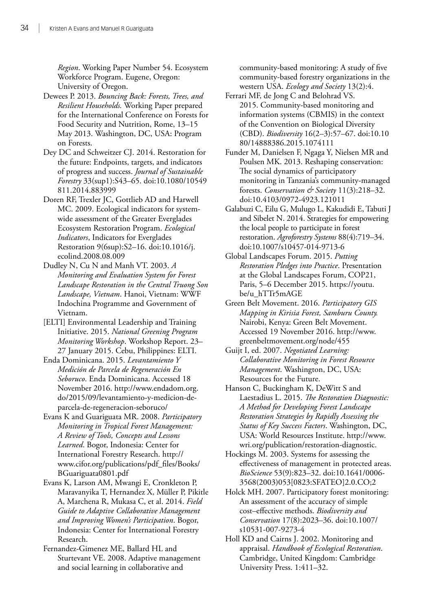*Region*. Working Paper Number 54. Ecosystem Workforce Program. Eugene, Oregon: University of Oregon.

- Dewees P. 2013. *Bouncing Back: Forests, Trees, and Resilient Households.* Working Paper prepared for the International Conference on Forests for Food Security and Nutrition, Rome, 13–15 May 2013. Washington, DC, USA: Program on Forests.
- Dey DC and Schweitzer CJ. 2014. Restoration for the future: Endpoints, targets, and indicators of progress and success. *Journal of Sustainable Forestry* 33(sup1):S43–65. doi:10.1080/10549 811.2014.883999
- Doren RF, Trexler JC, Gottlieb AD and Harwell MC. 2009. Ecological indicators for systemwide assessment of the Greater Everglades Ecosystem Restoration Program. *Ecological Indicators*, Indicators for Everglades Restoration 9(6sup):S2–16. doi:10.1016/j. ecolind.2008.08.009
- Dudley N, Cu N and Manh VT. 2003. *A Monitoring and Evaluation System for Forest Landscape Restoration in the Central Truong Son Landscape, Vietnam*. Hanoi, Vietnam: WWF Indochina Programme and Government of Vietnam.
- [ELTI] Environmental Leadership and Training Initiative. 2015. *National Greening Program Monitoring Workshop*. Workshop Report. 23– 27 January 2015. Cebu, Philippines: ELTI.
- Enda Dominicana. 2015. *Levantamiento Y Medición de Parcela de Regeneración En Seboruco*. Enda Dominicana. Accessed 18 November 2016. http://www.endadom.org. do/2015/09/levantamiento-y-medicion-deparcela-de-regeneracion-seboruco/
- Evans K and Guariguata MR. 2008. *Participatory Monitoring in Tropical Forest Management: A Review of Tools, Concepts and Lessons Learned*. Bogor, Indonesia: Center for International Forestry Research. http:// www.cifor.org/publications/pdf\_files/Books/ BGuariguata0801.pdf
- Evans K, Larson AM, Mwangi E, Cronkleton P, Maravanyika T, Hernandez X, Müller P, Pikitle A, Marchena R, Mukasa C, et al. 2014. *Field Guide to Adaptive Collaborative Management and Improving Women's Participation*. Bogor, Indonesia: Center for International Forestry Research.
- Fernandez-Gimenez ME, Ballard HL and Sturtevant VE. 2008. Adaptive management and social learning in collaborative and

community-based monitoring: A study of five community-based forestry organizations in the western USA. *Ecology and Society* 13(2):4.

- Ferrari MF, de Jong C and Belohrad VS. 2015. Community-based monitoring and information systems (CBMIS) in the context of the Convention on Biological Diversity (CBD). *Biodiversity* 16(2–3):57–67. doi:10.10 80/14888386.2015.1074111
- Funder M, Danielsen F, Ngaga Y, Nielsen MR and Poulsen MK. 2013. Reshaping conservation: The social dynamics of participatory monitoring in Tanzania's community-managed forests. *Conservation & Society* 11(3):218–32. doi:10.4103/0972-4923.121011
- Galabuzi C, Eilu G, Mulugo L, Kakudidi E, Tabuti J and Sibelet N. 2014. Strategies for empowering the local people to participate in forest restoration. *Agroforestry Systems* 88(4):719–34. doi:10.1007/s10457-014-9713-6
- Global Landscapes Forum. 2015. *Putting Restoration Pledges into Practice*. Presentation at the Global Landscapes Forum, COP21, Paris, 5–6 December 2015. https://youtu. be/u\_hTTr5mAGE
- Green Belt Movement. 2016. *Participatory GIS Mapping in Kirisia Forest, Samburu County.* Nairobi, Kenya: Green Belt Movement. Accessed 19 November 2016. http://www. greenbeltmovement.org/node/455
- Guijt I, ed. 2007. *Negotiated Learning: Collaborative Monitoring in Forest Resource Management*. Washington, DC, USA: Resources for the Future.
- Hanson C, Buckingham K, DeWitt S and Laestadius L. 2015. *The Restoration Diagnostic: A Method for Developing Forest Landscape Restoration Strategies by Rapidly Assessing the Status of Key Success Factors*. Washington, DC, USA: World Resources Institute. http://www. wri.org/publication/restoration-diagnostic.
- Hockings M. 2003. Systems for assessing the effectiveness of management in protected areas. *BioScience* 53(9):823–32. doi:10.1641/0006- 3568(2003)053[0823:SFATEO]2.0.CO;2
- Holck MH. 2007. Participatory forest monitoring: An assessment of the accuracy of simple cost–effective methods. *Biodiversity and Conservation* 17(8):2023–36. doi:10.1007/ s10531-007-9273-4
- Holl KD and Cairns J. 2002. Monitoring and appraisal. *Handbook of Ecological Restoration*. Cambridge, United Kingdom: Cambridge University Press. 1:411–32.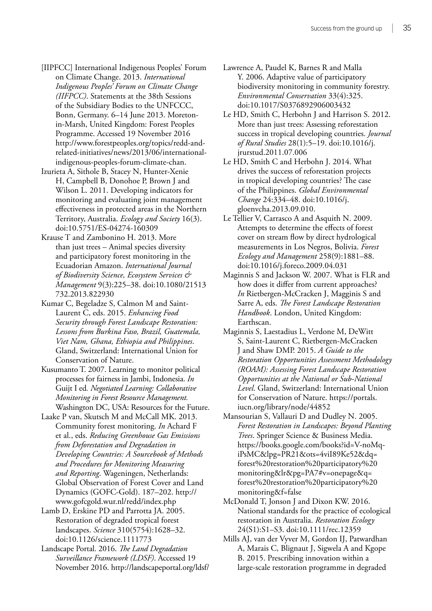[IIPFCC] International Indigenous Peoples' Forum on Climate Change. 2013. *International Indigenous Peoples' Forum on Climate Change (IIFPCC)*. Statements at the 38th Sessions of the Subsidiary Bodies to the UNFCCC, Bonn, Germany. 6–14 June 2013. Moretonin-Marsh, United Kingdom: Forest Peoples Programme. Accessed 19 November 2016 http://www.forestpeoples.org/topics/redd-andrelated-initiatives/news/2013/06/internationalindigenous-peoples-forum-climate-chan.

- Izurieta A, Sithole B, Stacey N, Hunter-Xenie H, Campbell B, Donohoe P, Brown J and Wilson L. 2011. Developing indicators for monitoring and evaluating joint management effectiveness in protected areas in the Northern Territory, Australia. *Ecology and Society* 16(3). doi:10.5751/ES-04274-160309
- Krause T and Zambonino H. 2013. More than just trees – Animal species diversity and participatory forest monitoring in the Ecuadorian Amazon. *International Journal of Biodiversity Science, Ecosystem Services & Management* 9(3):225–38. doi:10.1080/21513 732.2013.822930

Kumar C, Begeladze S, Calmon M and Saint-Laurent C, eds. 2015. *Enhancing Food Security through Forest Landscape Restoration: Lessons from Burkina Faso, Brazil, Guatemala, Viet Nam, Ghana, Ethiopia and Philippines*. Gland, Switzerland: International Union for Conservation of Nature.

Kusumanto T. 2007. Learning to monitor political processes for fairness in Jambi, Indonesia. *In* Guijt I ed*. Negotiated Learning: Collaborative Monitoring in Forest Resource Management.* Washington DC, USA: Resources for the Future.

- Laake P van, Skutsch M and McCall MK. 2013. Community forest monitoring. *In* Achard F et al., eds. *Reducing Greenhouse Gas Emissions from Deforestation and Degradation in Developing Countries: A Sourcebook of Methods and Procedures for Monitoring Measuring and Reporting*. Wageningen, Netherlands: Global Observation of Forest Cover and Land Dynamics (GOFC-Gold). 187–202. http:// www.gofcgold.wur.nl/redd/index.php
- Lamb D, Erskine PD and Parrotta JA. 2005. Restoration of degraded tropical forest landscapes. *Science* 310(5754):1628–32. doi:10.1126/science.1111773
- Landscape Portal. 2016. *The Land Degradation Surveillance Framework (LDSF)*. Accessed 19 November 2016. http://landscapeportal.org/ldsf/
- Lawrence A, Paudel K, Barnes R and Malla Y. 2006. Adaptive value of participatory biodiversity monitoring in community forestry. *Environmental Conservation* 33(4):325. doi:10.1017/S0376892906003432
- Le HD, Smith C, Herbohn J and Harrison S. 2012. More than just trees: Assessing reforestation success in tropical developing countries. *Journal of Rural Studies* 28(1):5–19. doi:10.1016/j. jrurstud.2011.07.006
- Le HD, Smith C and Herbohn J. 2014. What drives the success of reforestation projects in tropical developing countries? The case of the Philippines. *Global Environmental Change* 24:334–48. doi:10.1016/j. gloenvcha.2013.09.010.
- Le Tellier V, Carrasco A and Asquith N. 2009. Attempts to determine the effects of forest cover on stream flow by direct hydrological measurements in Los Negros, Bolivia. *Forest Ecology and Management* 258(9):1881–88. doi:10.1016/j.foreco.2009.04.031
- Maginnis S and Jackson W. 2007. What is FLR and how does it differ from current approaches? *In* Rietbergen-McCracken J, Magginis S and Sarre A, eds. *The Forest Landscape Restoration Handbook*. London, United Kingdom: Earthscan.
- Maginnis S, Laestadius L, Verdone M, DeWitt S, Saint-Laurent C, Rietbergen-McCracken J and Shaw DMP. 2015. *A Guide to the Restoration Opportunities Assessment Methodology (ROAM): Assessing Forest Landscape Restoration Opportunities at the National or Sub-National Level*. Gland, Switzerland: International Union for Conservation of Nature. https://portals. iucn.org/library/node/44852
- Mansourian S, Vallauri D and Dudley N. 2005. *Forest Restoration in Landscapes: Beyond Planting Trees*. Springer Science & Business Media. https://books.google.com/books?id=V-noMqiPsMC&lpg=PR21&ots=4viI89Ke52&dq= forest%20restoration%20participatory%20 monitoring&lr&pg=PA7#v=onepage&q= forest%20restoration%20participatory%20 monitoring&f=false
- McDonald T, Jonson J and Dixon KW. 2016. National standards for the practice of ecological restoration in Australia. *Restoration Ecology* 24(S1):S1–S3. doi:10.1111/rec.12359
- Mills AJ, van der Vyver M, Gordon IJ, Patwardhan A, Marais C, Blignaut J, Sigwela A and Kgope B. 2015. Prescribing innovation within a large-scale restoration programme in degraded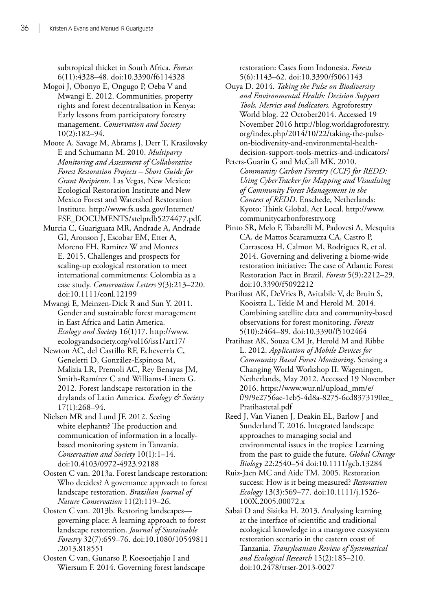subtropical thicket in South Africa. *Forests* 6(11):4328–48. doi:10.3390/f6114328

- Mogoi J, Obonyo E, Ongugo P, Oeba V and Mwangi E. 2012. Communities, property rights and forest decentralisation in Kenya: Early lessons from participatory forestry management. *Conservation and Society* 10(2):182–94.
- Moote A, Savage M, Abrams J, Derr T, Krasilovsky E and Schumann M. 2010. *Multiparty Monitoring and Assessment of Collaborative Forest Restoration Projects – Short Guide for Grant Recipients*. Las Vegas, New Mexico: Ecological Restoration Institute and New Mexico Forest and Watershed Restoration Institute. http://www.fs.usda.gov/Internet/ FSE\_DOCUMENTS/stelprdb5274477.pdf.
- Murcia C, Guariguata MR, Andrade A, Andrade GI, Aronson J, Escobar EM, Etter A, Moreno FH, Ramírez W and Montes E. 2015. Challenges and prospects for scaling-up ecological restoration to meet international commitments: Colombia as a case study. *Conservation Letters* 9(3):213–220. doi:10.1111/conl.12199
- Mwangi E, Meinzen-Dick R and Sun Y. 2011. Gender and sustainable forest management in East Africa and Latin America. *Ecology and Society* 16(1)17. http://www. ecologyandsociety.org/vol16/iss1/art17/
- Newton AC, del Castillo RF, Echeverría C, Geneletti D, González-Espinosa M, Malizia LR, Premoli AC, Rey Benayas JM, Smith-Ramírez C and Williams-Linera G. 2012. Forest landscape restoration in the drylands of Latin America. *Ecology & Society* 17(1):268–94.
- Nielsen MR and Lund JF. 2012. Seeing white elephants? The production and communication of information in a locallybased monitoring system in Tanzania. *Conservation and Society* 10(1):1–14. doi:10.4103/0972-4923.92188
- Oosten C van. 2013a. Forest landscape restoration: Who decides? A governance approach to forest landscape restoration. *Brazilian Journal of Nature Conservation* 11(2):119–26.
- Oosten C van. 2013b. Restoring landscapes governing place: A learning approach to forest landscape restoration. *Journal of Sustainable Forestry* 32(7):659–76. doi:10.1080/10549811 .2013.818551
- Oosten C van, Gunarso P, Koesoetjahjo I and Wiersum F. 2014. Governing forest landscape

restoration: Cases from Indonesia. *Forests* 5(6):1143–62. doi:10.3390/f5061143

- Ouya D. 2014. *Taking the Pulse on Biodiversity and Environmental Health: Decision Support Tools, Metrics and Indicators.* Agroforestry World blog. 22 October2014. Accessed 19 November 2016 http://blog.worldagroforestry. org/index.php/2014/10/22/taking-the-pulseon-biodiversity-and-environmental-healthdecision-support-tools-metrics-and-indicators/
- Peters-Guarin G and McCall MK. 2010. *Community Carbon Forestry (CCF) for REDD: Using CyberTracker for Mapping and Visualising of Community Forest Management in the Context of REDD*. Enschede, Netherlands: Kyoto: Think Global, Act Local. http://www. communitycarbonforestry.org
- Pinto SR, Melo F, Tabarelli M, Padovesi A, Mesquita CA, de Mattos Scaramuzza CA, Castro P, Carrascosa H, Calmon M, Rodrigues R, et al. 2014. Governing and delivering a biome-wide restoration initiative: The case of Atlantic Forest Restoration Pact in Brazil. *Forests* 5(9):2212–29. doi:10.3390/f5092212
- Pratihast AK, DeVries B, Avitabile V, de Bruin S, Kooistra L, Tekle M and Herold M. 2014. Combining satellite data and community-based observations for forest monitoring. *Forests* 5(10):2464–89. doi:10.3390/f5102464
- Pratihast AK, Souza CM Jr, Herold M and Ribbe L. 2012. *Application of Mobile Devices for Community Based Forest Monitoring*. Sensing a Changing World Workshop II. Wageningen, Netherlands, May 2012. Accessed 19 November 2016. https://www.wur.nl/upload\_mm/e/ f/9/9e2756ae-1eb5-4d8a-8275-6cd8373190ee\_ Pratihastetal.pdf
- Reed J, Van Vianen J, Deakin EL, Barlow J and Sunderland T. 2016. Integrated landscape approaches to managing social and environmental issues in the tropics: Learning from the past to guide the future. *Global Change Biology* 22:2540–54 doi:10.1111/gcb.13284
- Ruiz-Jaen MC and Aide TM. 2005. Restoration success: How is it being measured? *Restoration Ecology* 13(3):569–77. doi:10.1111/j.1526- 100X.2005.00072.x
- Sabai D and Sisitka H. 2013. Analysing learning at the interface of scientific and traditional ecological knowledge in a mangrove ecosystem restoration scenario in the eastern coast of Tanzania. *Transylvanian Review of Systematical and Ecological Research* 15(2):185–210. doi:10.2478/trser-2013-0027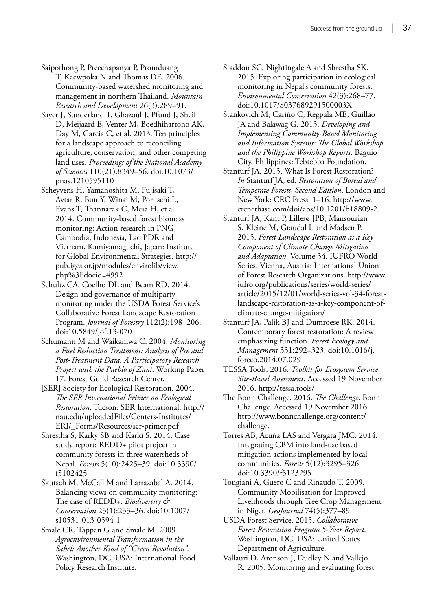Saipothong P, Preechapanya P, Promduang T, Kaewpoka N and Thomas DE. 2006. Community-based watershed monitoring and management in northern Thailand. *Mountain Research and Development* 26(3):289–91.

Sayer J, Sunderland T, Ghazoul J, Pfund J, Sheil D, Meijaard E, Venter M, Boedhihartono AK, Day M, Garcia C, et al. 2013. Ten principles for a landscape approach to reconciling agriculture, conservation, and other competing land uses. *Proceedings of the National Academy of Sciences* 110(21):8349–56. doi:10.1073/ pnas.1210595110

Scheyvens H, Yamanoshita M, Fujisaki T, Avtar R, Bun Y, Winai M, Poruschi L, Evans T, Thannarak C, Mesa H, et al. 2014. Community-based forest biomass monitoring: Action research in PNG, Cambodia, Indonesia, Lao PDR and Vietnam. Kamiyamaguchi, Japan: Institute for Global Environmental Strategies. http:// pub.iges.or.jp/modules/envirolib/view. php%3Fdocid=4992

Schultz CA, Coelho DL and Beam RD. 2014. Design and governance of multiparty monitoring under the USDA Forest Service's Collaborative Forest Landscape Restoration Program. *Journal of Forestry* 112(2):198–206. doi:10.5849/jof.13-070

Schumann M and Waikaniwa C. 2004. *Monitoring a Fuel Reduction Treatment: Analysis of Pre and Post-Treatment Data. A Participatory Research Project with the Pueblo of Zuni*. Working Paper 17. Forest Guild Research Center.

[SER] Society for Ecological Restoration. 2004. *The SER International Primer on Ecological Restoration*. Tucson: SER International. http:// nau.edu/uploadedFiles/Centers-Institutes/ ERI/\_Forms/Resources/ser-primer.pdf

Shrestha S, Karky SB and Karki S. 2014. Case study report: REDD+ pilot project in community forests in three watersheds of Nepal. *Forests* 5(10):2425–39. doi:10.3390/ f5102425

Skutsch M, McCall M and Larrazabal A. 2014. Balancing views on community monitoring: The case of REDD+. *Biodiversity & Conservation* 23(1):233–36. doi:10.1007/ s10531-013-0594-1

Smale CR, Tappan G and Smale M. 2009. *Agroenvironmental Transformation in the Sahel: Another Kind of "Green Revolution".* Washington, DC, USA: International Food Policy Research Institute.

Staddon SC, Nightingale A and Shrestha SK. 2015. Exploring participation in ecological monitoring in Nepal's community forests. *Environmental Conservation* 42(3):268–77. doi:10.1017/S037689291500003X

Stankovich M, Cariño C, Regpala ME, Guillao JA and Balawag G. 2013. *Developing and Implementing Community-Based Monitoring and Information Systems: The Global Workshop and the Philippine Workshop Reports*. Baguio City, Philippines: Tebtebba Foundation.

Stanturf JA. 2015. What Is Forest Restoration? *In* Stanturf JA, ed. *Restoration of Boreal and Temperate Forests, Second Edition*. London and New York: CRC Press. 1–16. http://www. crcnetbase.com/doi/abs/10.1201/b18809-2.

Stanturf JA, Kant P, Lillesø JPB, Mansourian S, Kleine M, Graudal L and Madsen P. 2015. *Forest Landscape Restoration as a Key Component of Climate Change Mitigation and Adaptation*. Volume 34. IUFRO World Series. Vienna, Austria: International Union of Forest Research Organizations. http://www. iufro.org/publications/series/world-series/ article/2015/12/01/world-series-vol-34-forestlandscape-restoration-as-a-key-component-ofclimate-change-mitigation/

Stanturf JA, Palik BJ and Dumroese RK. 2014. Contemporary forest restoration: A review emphasizing function. *Forest Ecology and Management* 331:292–323. doi:10.1016/j. foreco.2014.07.029

TESSA Tools. 2016. *Toolkit for Ecosystem Service Site-Based Assessment*. Accessed 19 November 2016. http://tessa.tools/

The Bonn Challenge. 2016. *The Challenge*. Bonn Challenge. Accessed 19 November 2016. http://www.bonnchallenge.org/content/ challenge.

Torres AB, Acuña LAS and Vergara JMC. 2014. Integrating CBM into land-use based mitigation actions implemented by local communities. *Forests* 5(12):3295–326. doi:10.3390/f5123295

Tougiani A, Guero C and Rinaudo T. 2009. Community Mobilisation for Improved Livelihoods through Tree Crop Management in Niger. *GeoJournal* 74(5):377–89.

USDA Forest Service. 2015. *Collaborative Forest Restoration Program 5-Year Report*. Washington, DC, USA: United States Department of Agriculture.

Vallauri D, Aronson J, Dudley N and Vallejo R. 2005. Monitoring and evaluating forest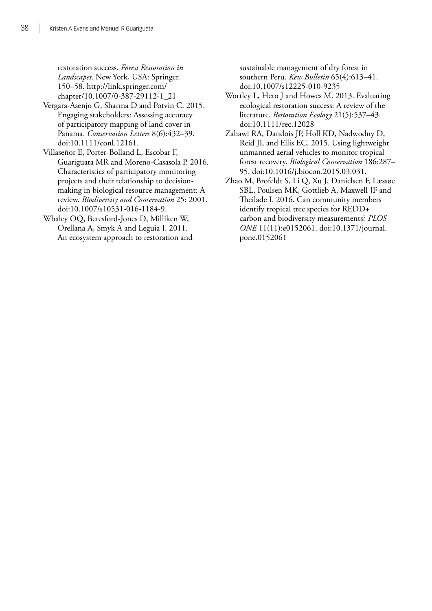restoration success. *Forest Restoration in Landscapes*. New York, USA: Springer. 150–58. http://link.springer.com/ chapter/10.1007/0-387-29112-1\_21

- Vergara-Asenjo G, Sharma D and Potvin C. 2015. Engaging stakeholders: Assessing accuracy of participatory mapping of land cover in Panama. *Conservation Letters* 8(6):432–39. doi:10.1111/conl.12161.
- Villaseñor E, Porter-Bolland L, Escobar F, Guariguata MR and Moreno-Casasola P. 2016. Characteristics of participatory monitoring projects and their relationship to decisionmaking in biological resource management: A review. *Biodiversity and Conservation* 25: 2001. doi:10.1007/s10531-016-1184-9.
- Whaley OQ, Beresford-Jones D, Milliken W, Orellana A, Smyk A and Leguia J. 2011. An ecosystem approach to restoration and

sustainable management of dry forest in southern Peru. *Kew Bulletin* 65(4):613–41. doi:10.1007/s12225-010-9235

- Wortley L, Hero J and Howes M. 2013. Evaluating ecological restoration success: A review of the literature. *Restoration Ecology* 21(5):537–43. doi:10.1111/rec.12028
- Zahawi RA, Dandois JP, Holl KD, Nadwodny D, Reid JL and Ellis EC. 2015. Using lightweight unmanned aerial vehicles to monitor tropical forest recovery. *Biological Conservation* 186:287– 95. doi:10.1016/j.biocon.2015.03.031.
- Zhao M, Brofeldt S, Li Q, Xu J, Danielsen F, Læssøe SBL, Poulsen MK, Gottlieb A, Maxwell JF and Theilade I. 2016. Can community members identify tropical tree species for REDD+ carbon and biodiversity measurements? *PLOS ONE* 11(11):e0152061. doi:10.1371/journal. pone.0152061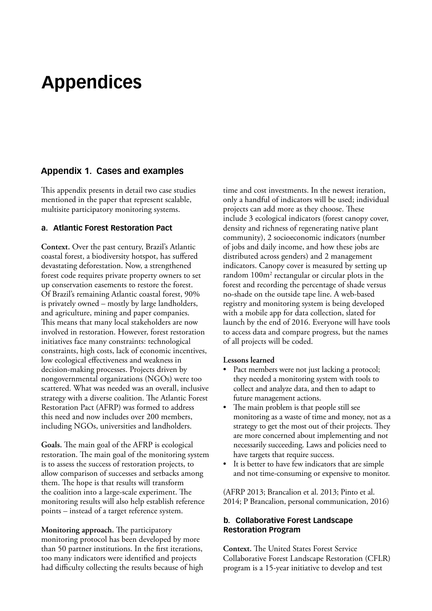# <span id="page-48-0"></span>**Appendices**

#### **Appendix 1. Cases and examples**

This appendix presents in detail two case studies mentioned in the paper that represent scalable, multisite participatory monitoring systems.

#### **a. Atlantic Forest Restoration Pact**

**Context.** Over the past century, Brazil's Atlantic coastal forest, a biodiversity hotspot, has suffered devastating deforestation. Now, a strengthened forest code requires private property owners to set up conservation easements to restore the forest. Of Brazil's remaining Atlantic coastal forest, 90% is privately owned – mostly by large landholders, and agriculture, mining and paper companies. This means that many local stakeholders are now involved in restoration. However, forest restoration initiatives face many constraints: technological constraints, high costs, lack of economic incentives, low ecological effectiveness and weakness in decision-making processes. Projects driven by nongovernmental organizations (NGOs) were too scattered. What was needed was an overall, inclusive strategy with a diverse coalition. The Atlantic Forest Restoration Pact (AFRP) was formed to address this need and now includes over 200 members, including NGOs, universities and landholders.

**Goals.** The main goal of the AFRP is ecological restoration. The main goal of the monitoring system is to assess the success of restoration projects, to allow comparison of successes and setbacks among them. The hope is that results will transform the coalition into a large-scale experiment. The monitoring results will also help establish reference points – instead of a target reference system.

**Monitoring approach.** The participatory monitoring protocol has been developed by more than 50 partner institutions. In the first iterations, too many indicators were identified and projects had difficulty collecting the results because of high time and cost investments. In the newest iteration, only a handful of indicators will be used; individual projects can add more as they choose. These include 3 ecological indicators (forest canopy cover, density and richness of regenerating native plant community), 2 socioeconomic indicators (number of jobs and daily income, and how these jobs are distributed across genders) and 2 management indicators. Canopy cover is measured by setting up random 100m<sup>2</sup> rectangular or circular plots in the forest and recording the percentage of shade versus no-shade on the outside tape line. A web-based registry and monitoring system is being developed with a mobile app for data collection, slated for launch by the end of 2016. Everyone will have tools to access data and compare progress, but the names of all projects will be coded.

#### **Lessons learned**

- Pact members were not just lacking a protocol; they needed a monitoring system with tools to collect and analyze data, and then to adapt to future management actions.
- The main problem is that people still see monitoring as a waste of time and money, not as a strategy to get the most out of their projects. They are more concerned about implementing and not necessarily succeeding. Laws and policies need to have targets that require success.
- It is better to have few indicators that are simple and not time-consuming or expensive to monitor.

(AFRP 2013; Brancalion et al. 2013; Pinto et al. 2014; P Brancalion, personal communication, 2016)

#### **b. Collaborative Forest Landscape Restoration Program**

**Context.** The United States Forest Service Collaborative Forest Landscape Restoration (CFLR) program is a 15-year initiative to develop and test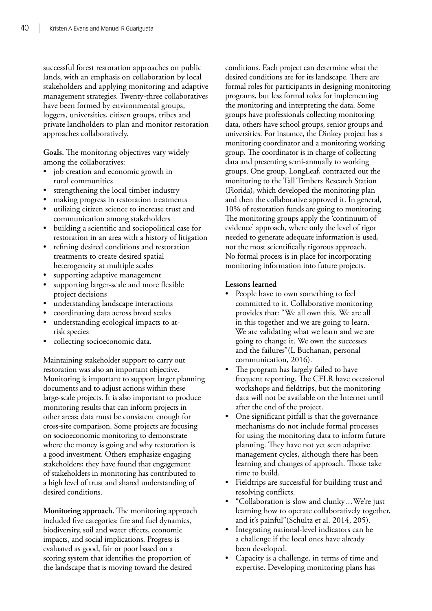successful forest restoration approaches on public lands, with an emphasis on collaboration by local stakeholders and applying monitoring and adaptive management strategies. Twenty-three collaboratives have been formed by environmental groups, loggers, universities, citizen groups, tribes and private landholders to plan and monitor restoration approaches collaboratively.

**Goals.** The monitoring objectives vary widely among the collaboratives:

- job creation and economic growth in rural communities
- strengthening the local timber industry
- making progress in restoration treatments
- utilizing citizen science to increase trust and communication among stakeholders
- building a scientific and sociopolitical case for restoration in an area with a history of litigation
- refining desired conditions and restoration treatments to create desired spatial heterogeneity at multiple scales
- supporting adaptive management
- supporting larger-scale and more flexible project decisions
- understanding landscape interactions
- coordinating data across broad scales
- understanding ecological impacts to atrisk species
- collecting socioeconomic data.

Maintaining stakeholder support to carry out restoration was also an important objective. Monitoring is important to support larger planning documents and to adjust actions within these large-scale projects. It is also important to produce monitoring results that can inform projects in other areas; data must be consistent enough for cross-site comparison. Some projects are focusing on socioeconomic monitoring to demonstrate where the money is going and why restoration is a good investment. Others emphasize engaging stakeholders; they have found that engagement of stakeholders in monitoring has contributed to a high level of trust and shared understanding of desired conditions.

**Monitoring approach.** The monitoring approach included five categories: fire and fuel dynamics, biodiversity, soil and water effects, economic impacts, and social implications. Progress is evaluated as good, fair or poor based on a scoring system that identifies the proportion of the landscape that is moving toward the desired

conditions. Each project can determine what the desired conditions are for its landscape. There are formal roles for participants in designing monitoring programs, but less formal roles for implementing the monitoring and interpreting the data. Some groups have professionals collecting monitoring data, others have school groups, senior groups and universities. For instance, the Dinkey project has a monitoring coordinator and a monitoring working group. The coordinator is in charge of collecting data and presenting semi-annually to working groups. One group, LongLeaf, contracted out the monitoring to the Tall Timbers Research Station (Florida), which developed the monitoring plan and then the collaborative approved it. In general, 10% of restoration funds are going to monitoring. The monitoring groups apply the 'continuum of evidence' approach, where only the level of rigor needed to generate adequate information is used, not the most scientifically rigorous approach. No formal process is in place for incorporating monitoring information into future projects.

#### **Lessons learned**

- People have to own something to feel committed to it. Collaborative monitoring provides that: "We all own this. We are all in this together and we are going to learn. We are validating what we learn and we are going to change it. We own the successes and the failures"(L Buchanan, personal communication, 2016).
- The program has largely failed to have frequent reporting. The CFLR have occasional workshops and fieldtrips, but the monitoring data will not be available on the Internet until after the end of the project.
- One significant pitfall is that the governance mechanisms do not include formal processes for using the monitoring data to inform future planning. They have not yet seen adaptive management cycles, although there has been learning and changes of approach. Those take time to build.
- Fieldtrips are successful for building trust and resolving conflicts.
- • "Collaboration is slow and clunky…We're just learning how to operate collaboratively together, and it's painful"(Schultz et al. 2014, 205).
- Integrating national-level indicators can be a challenge if the local ones have already been developed.
- • Capacity is a challenge, in terms of time and expertise. Developing monitoring plans has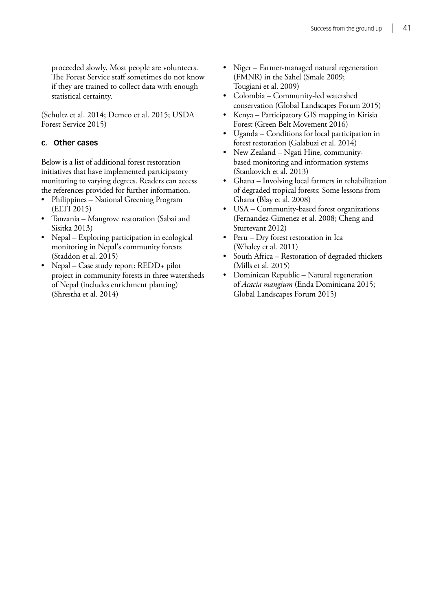proceeded slowly. Most people are volunteers. The Forest Service staff sometimes do not know if they are trained to collect data with enough statistical certainty.

(Schultz et al. 2014; Demeo et al. 2015; USDA Forest Service 2015)

#### **c. Other cases**

Below is a list of additional forest restoration initiatives that have implemented participatory monitoring to varying degrees. Readers can access the references provided for further information.

- Philippines National Greening Program (ELTI 2015)
- Tanzania Mangrove restoration (Sabai and Sisitka 2013)
- Nepal Exploring participation in ecological monitoring in Nepal's community forests (Staddon et al. 2015)
- Nepal Case study report: REDD+ pilot project in community forests in three watersheds of Nepal (includes enrichment planting) (Shrestha et al. 2014)
- • Niger Farmer-managed natural regeneration (FMNR) in the Sahel (Smale 2009; Tougiani et al. 2009)
- Colombia Community-led watershed conservation (Global Landscapes Forum 2015)
- Kenya Participatory GIS mapping in Kirisia Forest (Green Belt Movement 2016)
- Uganda Conditions for local participation in forest restoration (Galabuzi et al. 2014)
- New Zealand Ngati Hine, communitybased monitoring and information systems (Stankovich et al. 2013)
- • Ghana Involving local farmers in rehabilitation of degraded tropical forests: Some lessons from Ghana (Blay et al. 2008)
- USA Community-based forest organizations (Fernandez-Gimenez et al. 2008; Cheng and Sturtevant 2012)
- Peru Dry forest restoration in Ica (Whaley et al. 2011)
- South Africa Restoration of degraded thickets (Mills et al. 2015)
- Dominican Republic Natural regeneration of *Acacia mangium* (Enda Dominicana 2015; Global Landscapes Forum 2015)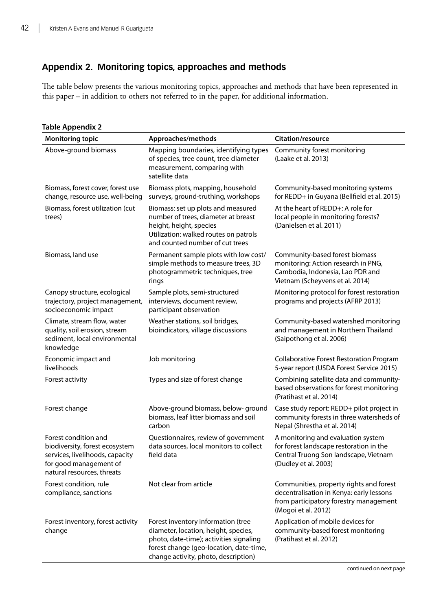#### <span id="page-51-0"></span>**Appendix 2. Monitoring topics, approaches and methods**

The table below presents the various monitoring topics, approaches and methods that have been represented in this paper – in addition to others not referred to in the paper, for additional information.

| <b>Monitoring topic</b>                                                                                                                           | Approaches/methods                                                                                                                                                                                       | Citation/resource                                                                                                                                    |
|---------------------------------------------------------------------------------------------------------------------------------------------------|----------------------------------------------------------------------------------------------------------------------------------------------------------------------------------------------------------|------------------------------------------------------------------------------------------------------------------------------------------------------|
| Above-ground biomass                                                                                                                              | Mapping boundaries, identifying types<br>of species, tree count, tree diameter<br>measurement, comparing with<br>satellite data                                                                          | Community forest monitoring<br>(Laake et al. 2013)                                                                                                   |
| Biomass, forest cover, forest use<br>change, resource use, well-being                                                                             | Biomass plots, mapping, household<br>surveys, ground-truthing, workshops                                                                                                                                 | Community-based monitoring systems<br>for REDD+ in Guyana (Bellfield et al. 2015)                                                                    |
| Biomass, forest utilization (cut<br>trees)                                                                                                        | Biomass: set up plots and measured<br>number of trees, diameter at breast<br>height, height, species<br>Utilization: walked routes on patrols<br>and counted number of cut trees                         | At the heart of REDD+: A role for<br>local people in monitoring forests?<br>(Danielsen et al. 2011)                                                  |
| Biomass, land use                                                                                                                                 | Permanent sample plots with low cost/<br>simple methods to measure trees, 3D<br>photogrammetric techniques, tree<br>rings                                                                                | Community-based forest biomass<br>monitoring: Action research in PNG,<br>Cambodia, Indonesia, Lao PDR and<br>Vietnam (Scheyvens et al. 2014)         |
| Canopy structure, ecological<br>trajectory, project management,<br>socioeconomic impact                                                           | Sample plots, semi-structured<br>interviews, document review,<br>participant observation                                                                                                                 | Monitoring protocol for forest restoration<br>programs and projects (AFRP 2013)                                                                      |
| Climate, stream flow, water<br>quality, soil erosion, stream<br>sediment, local environmental<br>knowledge                                        | Weather stations, soil bridges,<br>bioindicators, village discussions                                                                                                                                    | Community-based watershed monitoring<br>and management in Northern Thailand<br>(Saipothong et al. 2006)                                              |
| Economic impact and<br>livelihoods                                                                                                                | Job monitoring                                                                                                                                                                                           | Collaborative Forest Restoration Program<br>5-year report (USDA Forest Service 2015)                                                                 |
| Forest activity                                                                                                                                   | Types and size of forest change                                                                                                                                                                          | Combining satellite data and community-<br>based observations for forest monitoring<br>(Pratihast et al. 2014)                                       |
| Forest change                                                                                                                                     | Above-ground biomass, below-ground<br>biomass, leaf litter biomass and soil<br>carbon                                                                                                                    | Case study report: REDD+ pilot project in<br>community forests in three watersheds of<br>Nepal (Shrestha et al. 2014)                                |
| Forest condition and<br>biodiversity, forest ecosystem<br>services, livelihoods, capacity<br>for good management of<br>natural resources, threats | Questionnaires, review of government<br>data sources, local monitors to collect<br>field data                                                                                                            | A monitoring and evaluation system<br>for forest landscape restoration in the<br>Central Truong Son landscape, Vietnam<br>(Dudley et al. 2003)       |
| Forest condition, rule<br>compliance, sanctions                                                                                                   | Not clear from article                                                                                                                                                                                   | Communities, property rights and forest<br>decentralisation in Kenya: early lessons<br>from participatory forestry management<br>(Mogoi et al. 2012) |
| Forest inventory, forest activity<br>change                                                                                                       | Forest inventory information (tree<br>diameter, location, height, species,<br>photo, date-time); activities signaling<br>forest change (geo-location, date-time,<br>change activity, photo, description) | Application of mobile devices for<br>community-based forest monitoring<br>(Pratihast et al. 2012)                                                    |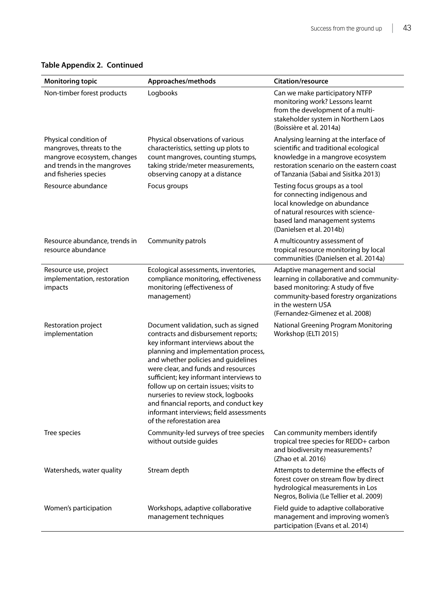| <b>Monitoring topic</b>                                                                                                                   | Approaches/methods                                                                                                                                                                                                                                                                                                                                                                                                                                                                   | <b>Citation/resource</b>                                                                                                                                                                                           |
|-------------------------------------------------------------------------------------------------------------------------------------------|--------------------------------------------------------------------------------------------------------------------------------------------------------------------------------------------------------------------------------------------------------------------------------------------------------------------------------------------------------------------------------------------------------------------------------------------------------------------------------------|--------------------------------------------------------------------------------------------------------------------------------------------------------------------------------------------------------------------|
| Non-timber forest products                                                                                                                | Logbooks                                                                                                                                                                                                                                                                                                                                                                                                                                                                             | Can we make participatory NTFP<br>monitoring work? Lessons learnt<br>from the development of a multi-<br>stakeholder system in Northern Laos<br>(Boissière et al. 2014a)                                           |
| Physical condition of<br>mangroves, threats to the<br>mangrove ecosystem, changes<br>and trends in the mangroves<br>and fisheries species | Physical observations of various<br>characteristics, setting up plots to<br>count mangroves, counting stumps,<br>taking stride/meter measurements,<br>observing canopy at a distance                                                                                                                                                                                                                                                                                                 | Analysing learning at the interface of<br>scientific and traditional ecological<br>knowledge in a mangrove ecosystem<br>restoration scenario on the eastern coast<br>of Tanzania (Sabai and Sisitka 2013)          |
| Resource abundance                                                                                                                        | Focus groups                                                                                                                                                                                                                                                                                                                                                                                                                                                                         | Testing focus groups as a tool<br>for connecting indigenous and<br>local knowledge on abundance<br>of natural resources with science-<br>based land management systems<br>(Danielsen et al. 2014b)                 |
| Resource abundance, trends in<br>resource abundance                                                                                       | Community patrols                                                                                                                                                                                                                                                                                                                                                                                                                                                                    | A multicountry assessment of<br>tropical resource monitoring by local<br>communities (Danielsen et al. 2014a)                                                                                                      |
| Resource use, project<br>implementation, restoration<br>impacts                                                                           | Ecological assessments, inventories,<br>compliance monitoring, effectiveness<br>monitoring (effectiveness of<br>management)                                                                                                                                                                                                                                                                                                                                                          | Adaptive management and social<br>learning in collaborative and community-<br>based monitoring: A study of five<br>community-based forestry organizations<br>in the western USA<br>(Fernandez-Gimenez et al. 2008) |
| Restoration project<br>implementation                                                                                                     | Document validation, such as signed<br>contracts and disbursement reports;<br>key informant interviews about the<br>planning and implementation process,<br>and whether policies and guidelines<br>were clear, and funds and resources<br>sufficient; key informant interviews to<br>follow up on certain issues; visits to<br>nurseries to review stock, logbooks<br>and financial reports, and conduct key<br>informant interviews; field assessments<br>of the reforestation area | National Greening Program Monitoring<br>Workshop (ELTI 2015)                                                                                                                                                       |
| Tree species                                                                                                                              | Community-led surveys of tree species<br>without outside quides                                                                                                                                                                                                                                                                                                                                                                                                                      | Can community members identify<br>tropical tree species for REDD+ carbon<br>and biodiversity measurements?<br>(Zhao et al. 2016)                                                                                   |
| Watersheds, water quality                                                                                                                 | Stream depth                                                                                                                                                                                                                                                                                                                                                                                                                                                                         | Attempts to determine the effects of<br>forest cover on stream flow by direct<br>hydrological measurements in Los<br>Negros, Bolivia (Le Tellier et al. 2009)                                                      |
| Women's participation                                                                                                                     | Workshops, adaptive collaborative<br>management techniques                                                                                                                                                                                                                                                                                                                                                                                                                           | Field guide to adaptive collaborative<br>management and improving women's<br>participation (Evans et al. 2014)                                                                                                     |

#### **Table Appendix 2. Continued**